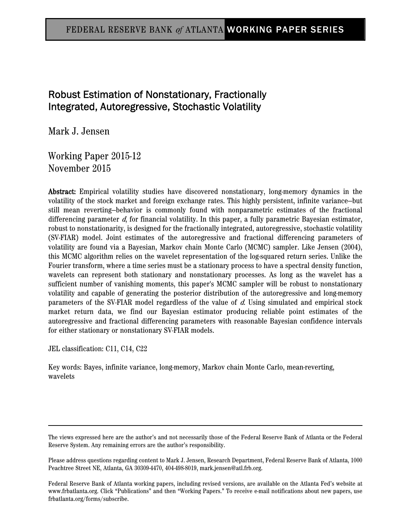# FEDERAL RESERVE BANK o*f* ATLANTA WORKING PAPER SERIES

# Robust Estimation of Nonstationary, Fractionally Integrated, Autoregressive, Stochastic Volatility

Mark J. Jensen

Working Paper 2015-12 November 2015

Abstract: Empirical volatility studies have discovered nonstationary, long-memory dynamics in the volatility of the stock market and foreign exchange rates. This highly persistent, infinite variance—but still mean reverting—behavior is commonly found with nonparametric estimates of the fractional differencing parameter  $d$ , for financial volatility. In this paper, a fully parametric Bayesian estimator, robust to nonstationarity, is designed for the fractionally integrated, autoregressive, stochastic volatility (SV-FIAR) model. Joint estimates of the autoregressive and fractional differencing parameters of volatility are found via a Bayesian, Markov chain Monte Carlo (MCMC) sampler. Like Jensen (2004), this MCMC algorithm relies on the wavelet representation of the log-squared return series. Unlike the Fourier transform, where a time series must be a stationary process to have a spectral density function, wavelets can represent both stationary and nonstationary processes. As long as the wavelet has a sufficient number of vanishing moments, this paper's MCMC sampler will be robust to nonstationary volatility and capable of generating the posterior distribution of the autoregressive and long-memory parameters of the SV-FIAR model regardless of the value of d. Using simulated and empirical stock market return data, we find our Bayesian estimator producing reliable point estimates of the autoregressive and fractional differencing parameters with reasonable Bayesian confidence intervals for either stationary or nonstationary SV-FIAR models.

JEL classification: C11, C14, C22

Key words: Bayes, infinite variance, long-memory, Markov chain Monte Carlo, mean-reverting, wavelets

The views expressed here are the author's and not necessarily those of the Federal Reserve Bank of Atlanta or the Federal Reserve System. Any remaining errors are the author's responsibility.

Please address questions regarding content to Mark J. Jensen, Research Department, Federal Reserve Bank of Atlanta, 1000 Peachtree Street NE, Atlanta, GA 30309-4470, 404-498-8019, mark.jensen@atl.frb.org.

Federal Reserve Bank of Atlanta working papers, including revised versions, are available on the Atlanta Fed's website at www.frbatlanta.org. Click "Publications" and then "Working Papers." To receive e-mail notifications about new papers, use frbatlanta.org/forms/subscribe.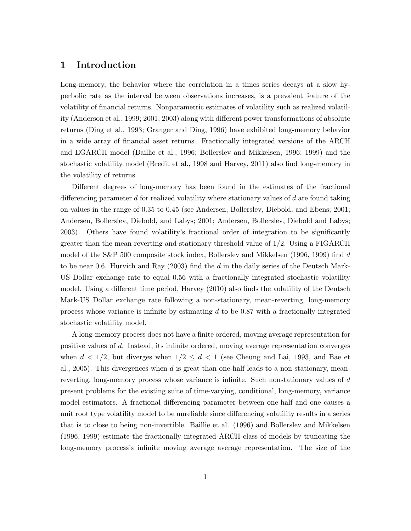# 1 Introduction

Long-memory, the behavior where the correlation in a times series decays at a slow hyperbolic rate as the interval between observations increases, is a prevalent feature of the volatility of financial returns. Nonparametric estimates of volatility such as realized volatility (Anderson et al., 1999; 2001; 2003) along with different power transformations of absolute returns (Ding et al., 1993; Granger and Ding, 1996) have exhibited long-memory behavior in a wide array of financial asset returns. Fractionally integrated versions of the ARCH and EGARCH model (Baillie et al., 1996; Bollerslev and Mikkelsen, 1996; 1999) and the stochastic volatility model (Bredit et al., 1998 and Harvey, 2011) also find long-memory in the volatility of returns.

Different degrees of long-memory has been found in the estimates of the fractional differencing parameter d for realized volatility where stationary values of d are found taking on values in the range of 0.35 to 0.45 (see Andersen, Bollerslev, Diebold, and Ebens; 2001; Andersen, Bollerslev, Diebold, and Labys; 2001; Andersen, Bollerslev, Diebold and Labys; 2003). Others have found volatility's fractional order of integration to be significantly greater than the mean-reverting and stationary threshold value of 1/2. Using a FIGARCH model of the S&P 500 composite stock index, Bollerslev and Mikkelsen (1996, 1999) find d to be near 0.6. Hurvich and Ray  $(2003)$  find the d in the daily series of the Deutsch Mark-US Dollar exchange rate to equal 0.56 with a fractionally integrated stochastic volatility model. Using a different time period, Harvey (2010) also finds the volatility of the Deutsch Mark-US Dollar exchange rate following a non-stationary, mean-reverting, long-memory process whose variance is infinite by estimating  $d$  to be 0.87 with a fractionally integrated stochastic volatility model.

A long-memory process does not have a finite ordered, moving average representation for positive values of d. Instead, its infinite ordered, moving average representation converges when  $d < 1/2$ , but diverges when  $1/2 \leq d < 1$  (see Cheung and Lai, 1993, and Bae et al., 2005). This divergences when  $d$  is great than one-half leads to a non-stationary, meanreverting, long-memory process whose variance is infinite. Such nonstationary values of d present problems for the existing suite of time-varying, conditional, long-memory, variance model estimators. A fractional differencing parameter between one-half and one causes a unit root type volatility model to be unreliable since differencing volatility results in a series that is to close to being non-invertible. Baillie et al. (1996) and Bollerslev and Mikkelsen (1996, 1999) estimate the fractionally integrated ARCH class of models by truncating the long-memory process's infinite moving average average representation. The size of the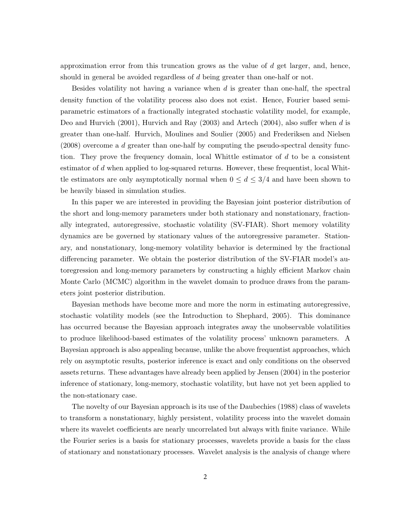approximation error from this truncation grows as the value of  $d$  get larger, and, hence, should in general be avoided regardless of d being greater than one-half or not.

Besides volatility not having a variance when  $d$  is greater than one-half, the spectral density function of the volatility process also does not exist. Hence, Fourier based semiparametric estimators of a fractionally integrated stochastic volatility model, for example, Deo and Hurvich (2001), Hurvich and Ray (2003) and Artech (2004), also suffer when d is greater than one-half. Hurvich, Moulines and Soulier (2005) and Frederiksen and Nielsen (2008) overcome a d greater than one-half by computing the pseudo-spectral density function. They prove the frequency domain, local Whittle estimator of d to be a consistent estimator of  $d$  when applied to log-squared returns. However, these frequentist, local Whittle estimators are only asymptotically normal when  $0 \leq d \leq 3/4$  and have been shown to be heavily biased in simulation studies.

In this paper we are interested in providing the Bayesian joint posterior distribution of the short and long-memory parameters under both stationary and nonstationary, fractionally integrated, autoregressive, stochastic volatility (SV-FIAR). Short memory volatility dynamics are be governed by stationary values of the autoregressive parameter. Stationary, and nonstationary, long-memory volatility behavior is determined by the fractional differencing parameter. We obtain the posterior distribution of the SV-FIAR model's autoregression and long-memory parameters by constructing a highly efficient Markov chain Monte Carlo (MCMC) algorithm in the wavelet domain to produce draws from the parameters joint posterior distribution.

Bayesian methods have become more and more the norm in estimating autoregressive, stochastic volatility models (see the Introduction to Shephard, 2005). This dominance has occurred because the Bayesian approach integrates away the unobservable volatilities to produce likelihood-based estimates of the volatility process' unknown parameters. A Bayesian approach is also appealing because, unlike the above frequentist approaches, which rely on asymptotic results, posterior inference is exact and only conditions on the observed assets returns. These advantages have already been applied by Jensen (2004) in the posterior inference of stationary, long-memory, stochastic volatility, but have not yet been applied to the non-stationary case.

The novelty of our Bayesian approach is its use of the Daubechies (1988) class of wavelets to transform a nonstationary, highly persistent, volatility process into the wavelet domain where its wavelet coefficients are nearly uncorrelated but always with finite variance. While the Fourier series is a basis for stationary processes, wavelets provide a basis for the class of stationary and nonstationary processes. Wavelet analysis is the analysis of change where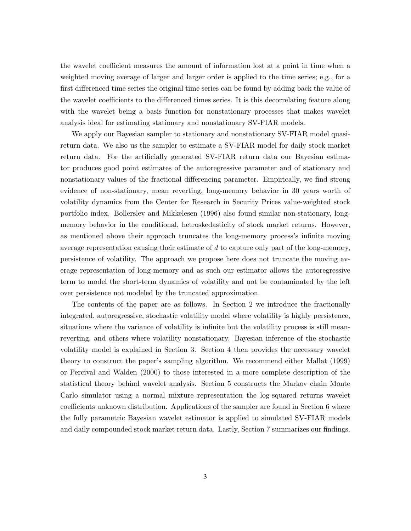the wavelet coefficient measures the amount of information lost at a point in time when a weighted moving average of larger and larger order is applied to the time series; e.g., for a first differenced time series the original time series can be found by adding back the value of the wavelet coefficients to the differenced times series. It is this decorrelating feature along with the wavelet being a basis function for nonstationary processes that makes wavelet analysis ideal for estimating stationary and nonstationary SV-FIAR models.

We apply our Bayesian sampler to stationary and nonstationary SV-FIAR model quasireturn data. We also us the sampler to estimate a SV-FIAR model for daily stock market return data. For the artificially generated SV-FIAR return data our Bayesian estimator produces good point estimates of the autoregressive parameter and of stationary and nonstationary values of the fractional differencing parameter. Empirically, we find strong evidence of non-stationary, mean reverting, long-memory behavior in 30 years worth of volatility dynamics from the Center for Research in Security Prices value-weighted stock portfolio index. Bollerslev and Mikkelesen (1996) also found similar non-stationary, longmemory behavior in the conditional, hetroskedasticity of stock market returns. However, as mentioned above their approach truncates the long-memory process's infinite moving average representation causing their estimate of d to capture only part of the long-memory, persistence of volatility. The approach we propose here does not truncate the moving average representation of long-memory and as such our estimator allows the autoregressive term to model the short-term dynamics of volatility and not be contaminated by the left over persistence not modeled by the truncated approximation.

The contents of the paper are as follows. In Section 2 we introduce the fractionally integrated, autoregressive, stochastic volatility model where volatility is highly persistence, situations where the variance of volatility is infinite but the volatility process is still meanreverting, and others where volatility nonstationary. Bayesian inference of the stochastic volatility model is explained in Section 3. Section 4 then provides the necessary wavelet theory to construct the paper's sampling algorithm. We recommend either Mallat (1999) or Percival and Walden (2000) to those interested in a more complete description of the statistical theory behind wavelet analysis. Section 5 constructs the Markov chain Monte Carlo simulator using a normal mixture representation the log-squared returns wavelet coefficients unknown distribution. Applications of the sampler are found in Section 6 where the fully parametric Bayesian wavelet estimator is applied to simulated SV-FIAR models and daily compounded stock market return data. Lastly, Section 7 summarizes our findings.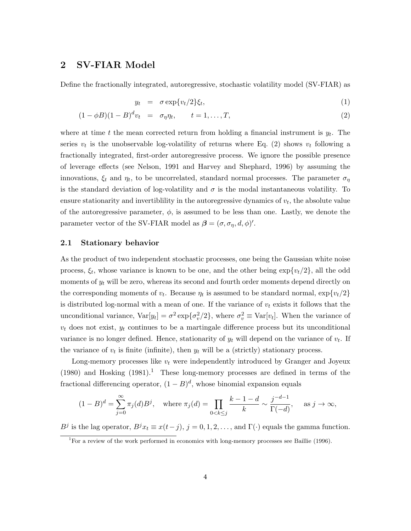### 2 SV-FIAR Model

Define the fractionally integrated, autoregressive, stochastic volatility model (SV-FIAR) as

$$
y_t = \sigma \exp\{v_t/2\}\xi_t,\tag{1}
$$

$$
(1 - \phi B)(1 - B)^{d}v_t = \sigma_{\eta} \eta_t, \qquad t = 1, \dots, T,
$$
\n
$$
(2)
$$

where at time t the mean corrected return from holding a financial instrument is  $y_t$ . The series  $v_t$  is the unobservable log-volatility of returns where Eq. (2) shows  $v_t$  following a fractionally integrated, first-order autoregressive process. We ignore the possible presence of leverage effects (see Nelson, 1991 and Harvey and Shephard, 1996) by assuming the innovations,  $\xi_t$  and  $\eta_t$ , to be uncorrelated, standard normal processes. The parameter  $\sigma_{\eta}$ is the standard deviation of log-volatility and  $\sigma$  is the modal instantaneous volatility. To ensure stationarity and invertibility in the autoregressive dynamics of  $v_t$ , the absolute value of the autoregressive parameter,  $\phi$ , is assumed to be less than one. Lastly, we denote the parameter vector of the SV-FIAR model as  $\beta = (\sigma, \sigma_{\eta}, d, \phi)'$ .

#### 2.1 Stationary behavior

As the product of two independent stochastic processes, one being the Gaussian white noise process,  $\xi_t$ , whose variance is known to be one, and the other being  $\exp\{v_t/2\}$ , all the odd moments of  $y_t$  will be zero, whereas its second and fourth order moments depend directly on the corresponding moments of  $v_t$ . Because  $\eta_t$  is assumed to be standard normal,  $\exp\{v_t/2\}$ is distributed log-normal with a mean of one. If the variance of  $v_t$  exists it follows that the unconditional variance,  $Var[y_t] = \sigma^2 \exp{\{\sigma_v^2/2\}}$ , where  $\sigma_v^2 \equiv Var[v_t]$ . When the variance of  $v_t$  does not exist,  $y_t$  continues to be a martingale difference process but its unconditional variance is no longer defined. Hence, stationarity of  $y_t$  will depend on the variance of  $v_t$ . If the variance of  $v_t$  is finite (infinite), then  $y_t$  will be a (strictly) stationary process.

Long-memory processes like  $v_t$  were independently introduced by Granger and Joyeux (1980) and Hosking  $(1981)^{1}$ . These long-memory processes are defined in terms of the fractional differencing operator,  $(1 - B)^d$ , whose binomial expansion equals

$$
(1 - B)^d = \sum_{j=0}^{\infty} \pi_j(d) B^j, \text{ where } \pi_j(d) = \prod_{0 < k \le j} \frac{k - 1 - d}{k} \sim \frac{j^{-d-1}}{\Gamma(-d)}, \text{ as } j \to \infty,
$$

B<sup>j</sup> is the lag operator,  $B^j x_t \equiv x(t-j)$ ,  $j = 0, 1, 2, \ldots$ , and  $\Gamma(\cdot)$  equals the gamma function.

<sup>&</sup>lt;sup>1</sup>For a review of the work performed in economics with long-memory processes see Baillie (1996).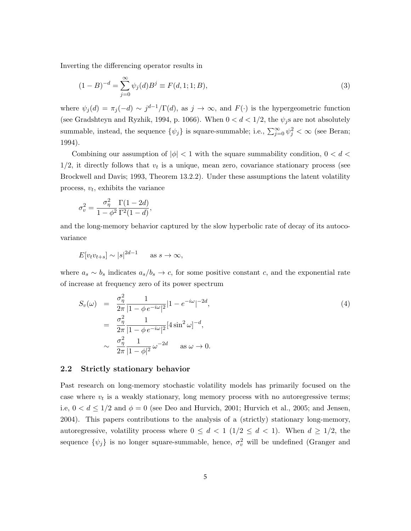Inverting the differencing operator results in

$$
(1 - B)^{-d} = \sum_{j=0}^{\infty} \psi_j(d) B^j \equiv F(d, 1; 1; B), \tag{3}
$$

where  $\psi_j(d) = \pi_j(-d) \sim j^{d-1}/\Gamma(d)$ , as  $j \to \infty$ , and  $F(\cdot)$  is the hypergeometric function (see Gradshteyn and Ryzhik, 1994, p. 1066). When  $0 < d < 1/2$ , the  $\psi_j$ s are not absolutely summable, instead, the sequence  $\{\psi_j\}$  is square-summable; i.e.,  $\sum_{j=0}^{\infty} \psi_j^2 < \infty$  (see Beran; 1994).

Combining our assumption of  $|\phi|$  < 1 with the square summability condition,  $0 < d <$  $1/2$ , it directly follows that  $v_t$  is a unique, mean zero, covariance stationary process (see Brockwell and Davis; 1993, Theorem 13.2.2). Under these assumptions the latent volatility process,  $v_t$ , exhibits the variance

$$
\sigma_v^2 = \frac{\sigma_\eta^2}{1 - \phi^2} \frac{\Gamma(1 - 2d)}{\Gamma^2(1 - d)},
$$

and the long-memory behavior captured by the slow hyperbolic rate of decay of its autocovariance

$$
E[v_t v_{t+s}] \sim |s|^{2d-1} \quad \text{as } s \to \infty,
$$

where  $a_s \sim b_s$  indicates  $a_s/b_s \to c$ , for some positive constant c, and the exponential rate of increase at frequency zero of its power spectrum

$$
S_{\nu}(\omega) = \frac{\sigma_{\eta}^{2}}{2\pi} \frac{1}{|1 - \phi e^{-i\omega}|^{2}} |1 - e^{-i\omega}|^{-2d},
$$
\n
$$
= \frac{\sigma_{\eta}^{2}}{2\pi} \frac{1}{|1 - \phi e^{-i\omega}|^{2}} [4 \sin^{2} \omega]^{-d},
$$
\n
$$
\sim \frac{\sigma_{\eta}^{2}}{2\pi} \frac{1}{|1 - \phi|^{2}} \omega^{-2d} \quad \text{as } \omega \to 0.
$$
\n(4)

#### 2.2 Strictly stationary behavior

Past research on long-memory stochastic volatility models has primarily focused on the case where  $v_t$  is a weakly stationary, long memory process with no autoregressive terms; i.e,  $0 < d \leq 1/2$  and  $\phi = 0$  (see Deo and Hurvich, 2001; Hurvich et al., 2005; and Jensen, 2004). This papers contributions to the analysis of a (strictly) stationary long-memory, autoregressive, volatility process where  $0 \leq d < 1$  ( $1/2 \leq d < 1$ ). When  $d \geq 1/2$ , the sequence  $\{\psi_j\}$  is no longer square-summable, hence,  $\sigma_v^2$  will be undefined (Granger and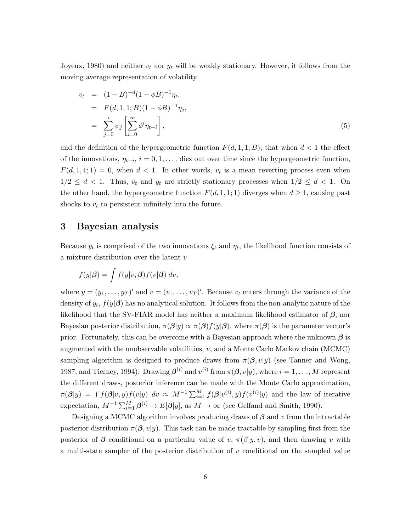Joyeux, 1980) and neither  $v_t$  nor  $y_t$  will be weakly stationary. However, it follows from the moving average representation of volatility

$$
v_t = (1 - B)^{-d} (1 - \phi B)^{-1} \eta_t,
$$
  
\n
$$
= F(d, 1, 1; B) (1 - \phi B)^{-1} \eta_j,
$$
  
\n
$$
= \sum_{j=0}^i \psi_j \left[ \sum_{i=0}^\infty \phi^i \eta_{t-i} \right],
$$
  
\n(5)

and the definition of the hypergeometric function  $F(d, 1, 1; B)$ , that when  $d < 1$  the effect of the innovations,  $\eta_{t-i}, i = 0, 1, \ldots$ , dies out over time since the hypergeometric function,  $F(d, 1, 1; 1) = 0$ , when  $d < 1$ . In other words,  $v_t$  is a mean reverting process even when  $1/2 \leq d < 1$ . Thus,  $v_t$  and  $y_t$  are strictly stationary processes when  $1/2 \leq d < 1$ . On the other hand, the hypergeometric function  $F(d, 1, 1; 1)$  diverges when  $d \geq 1$ , causing past shocks to  $v_t$  to persistent infinitely into the future.

### 3 Bayesian analysis

Because  $y_t$  is comprised of the two innovations  $\xi_t$  and  $\eta_t$ , the likelihood function consists of a mixture distribution over the latent v

$$
f(y|\boldsymbol{\beta}) = \int f(y|v, \boldsymbol{\beta}) f(v|\boldsymbol{\beta}) dv,
$$

where  $y = (y_1, \ldots, y_T)'$  and  $v = (v_1, \ldots, v_T)'$ . Because  $v_t$  enters through the variance of the density of  $y_t$ ,  $f(y|\boldsymbol{\beta})$  has no analytical solution. It follows from the non-analytic nature of the likelihood that the SV-FIAR model has neither a maximum likelihood estimator of  $\beta$ , nor Bayesian posterior distribution,  $\pi(\beta|y) \propto \pi(\beta)f(y|\beta)$ , where  $\pi(\beta)$  is the parameter vector's prior. Fortunately, this can be overcome with a Bayesian approach where the unknown  $\beta$  is augmented with the unobservable volatilities,  $v$ , and a Monte Carlo Markov chain (MCMC) sampling algorithm is designed to produce draws from  $\pi(\beta, v|y)$  (see Tanner and Wong, 1987; and Tierney, 1994). Drawing  $\boldsymbol{\beta}^{(i)}$  and  $v^{(i)}$  from  $\pi(\boldsymbol{\beta}, v | y)$ , where  $i = 1, \ldots, M$  represent the different draws, posterior inference can be made with the Monte Carlo approximation,  $\pi(\boldsymbol{\beta}|y) = \int f(\boldsymbol{\beta}|v,y) f(v|y) dv \approx M^{-1} \sum_{i=1}^{M} f(\boldsymbol{\beta}|v^{(i)},y) f(v^{(i)}|y)$  and the law of iterative expectation,  $M^{-1} \sum_{i=1}^{M} \beta^{(i)} \to E[\beta|y]$ , as  $M \to \infty$  (see Gelfand and Smith, 1990).

Designing a MCMC algorithm involves producing draws of  $\beta$  and v from the intractable posterior distribution  $\pi(\beta, v|y)$ . This task can be made tractable by sampling first from the posterior of  $\beta$  conditional on a particular value of v,  $\pi(\beta|y, v)$ , and then drawing v with a multi-state sampler of the posterior distribution of v conditional on the sampled value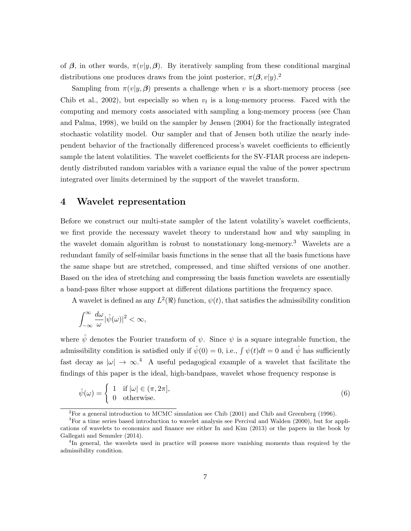of  $\beta$ , in other words,  $\pi(v|y, \beta)$ . By iteratively sampling from these conditional marginal distributions one produces draws from the joint posterior,  $\pi(\beta, v|y)$ .<sup>2</sup>

Sampling from  $\pi(v|y,\beta)$  presents a challenge when v is a short-memory process (see Chib et al., 2002), but especially so when  $v_t$  is a long-memory process. Faced with the computing and memory costs associated with sampling a long-memory process (see Chan and Palma, 1998), we build on the sampler by Jensen (2004) for the fractionally integrated stochastic volatility model. Our sampler and that of Jensen both utilize the nearly independent behavior of the fractionally differenced process's wavelet coefficients to efficiently sample the latent volatilities. The wavelet coefficients for the SV-FIAR process are independently distributed random variables with a variance equal the value of the power spectrum integrated over limits determined by the support of the wavelet transform.

### 4 Wavelet representation

Before we construct our multi-state sampler of the latent volatility's wavelet coefficients, we first provide the necessary wavelet theory to understand how and why sampling in the wavelet domain algorithm is robust to nonstationary long-memory.<sup>3</sup> Wavelets are a redundant family of self-similar basis functions in the sense that all the basis functions have the same shape but are stretched, compressed, and time shifted versions of one another. Based on the idea of stretching and compressing the basis function wavelets are essentially a band-pass filter whose support at different dilations partitions the frequency space.

A wavelet is defined as any  $L^2(\mathbb{R})$  function,  $\psi(t)$ , that satisfies the admissibility condition

$$
\int_{-\infty}^{\infty} \frac{d\omega}{\omega} |\hat{\psi}(\omega)|^2 < \infty,
$$

where  $\hat{\psi}$  denotes the Fourier transform of  $\psi$ . Since  $\psi$  is a square integrable function, the admissibility condition is satisfied only if  $\hat{\psi}(0) = 0$ , i.e.,  $\int \psi(t)dt = 0$  and  $\hat{\psi}$  has sufficiently fast decay as  $|\omega| \to \infty$ .<sup>4</sup> A useful pedagogical example of a wavelet that facilitate the findings of this paper is the ideal, high-bandpass, wavelet whose frequency response is

$$
\hat{\psi}(\omega) = \begin{cases} 1 & \text{if } |\omega| \in (\pi, 2\pi], \\ 0 & \text{otherwise.} \end{cases}
$$
\n(6)

<sup>&</sup>lt;sup>2</sup>For a general introduction to MCMC simulation see Chib (2001) and Chib and Greenberg (1996).

<sup>&</sup>lt;sup>3</sup>For a time series based introduction to wavelet analysis see Percival and Walden (2000), but for applications of wavelets to economics and finance see either In and Kim (2013) or the papers in the book by Gallegati and Semmler (2014).

<sup>&</sup>lt;sup>4</sup>In general, the wavelets used in practice will possess more vanishing moments than required by the admissibility condition.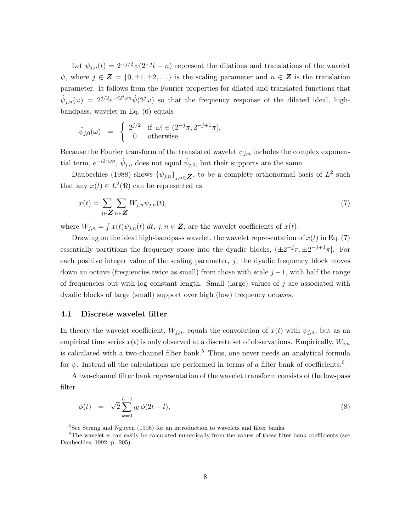Let  $\psi_{j,n}(t) = 2^{-j/2}\psi(2^{-j}t - n)$  represent the dilations and translations of the wavelet  $\psi$ , where  $j \in \mathbf{Z} = \{0, \pm 1, \pm 2, \ldots\}$  is the scaling parameter and  $n \in \mathbf{Z}$  is the translation parameter. It follows from the Fourier properties for dilated and translated functions that  $\hat{\psi}_{j,n}(\omega) = 2^{j/2} e^{-i2^j \omega n} \hat{\psi}(2^j \omega)$  so that the frequency response of the dilated ideal, highbandpass, wavelet in Eq. (6) equals

$$
\hat{\psi}_{j,0}(\omega) = \begin{cases} 2^{j/2} & \text{if } |\omega| \in (2^{-j}\pi, 2^{-j+1}\pi], \\ 0 & \text{otherwise.} \end{cases}
$$

Because the Fourier transform of the translated wavelet  $\psi_{i,n}$  includes the complex exponential term,  $e^{-i2^{j}\omega n}$ ,  $\hat{\psi}_{j,n}$  does not equal  $\hat{\psi}_{j,0}$ , but their supports are the same.

Daubechies (1988) shows  $\{\psi_{j,n}\}_{j,n\in\mathbb{Z}}$ , to be a complete orthonormal basis of  $L^2$  such that any  $x(t) \in L^2(\mathbb{R})$  can be represented as

$$
x(t) = \sum_{j \in \mathbf{Z}} \sum_{n \in \mathbf{Z}} W_{j,n} \psi_{j,n}(t),
$$
\n<sup>(7)</sup>

where  $W_{j,n} = \int x(t)\psi_{j,n}(t) dt$ ,  $j, n \in \mathbb{Z}$ , are the wavelet coefficients of  $x(t)$ .

Drawing on the ideal high-bandpass wavelet, the wavelet representation of  $x(t)$  in Eq. (7) essentially partitions the frequency space into the dyadic blocks,  $(\pm 2^{-j}\pi, \pm 2^{-j+1}\pi]$ . For each positive integer value of the scaling parameter,  $j$ , the dyadic frequency block moves down an octave (frequencies twice as small) from those with scale  $j-1$ , with half the range of frequencies but with log constant length. Small (large) values of  $j$  are associated with dyadic blocks of large (small) support over high (low) frequency octaves.

#### 4.1 Discrete wavelet filter

In theory the wavelet coefficient,  $W_{j,n}$ , equals the convolution of  $x(t)$  with  $\psi_{j,n}$ , but as an empirical time series  $x(t)$  is only observed at a discrete set of observations. Empirically,  $W_{j,n}$ is calculated with a two-channel filter bank.<sup>5</sup> Thus, one never needs an analytical formula for  $\psi$ . Instead all the calculations are performed in terms of a filter bank of coefficients.<sup>6</sup>

A two-channel filter bank representation of the wavelet transform consists of the low-pass filter

$$
\phi(t) = \sqrt{2} \sum_{k=0}^{L-1} g_l \phi(2t - l), \qquad (8)
$$

<sup>&</sup>lt;sup>5</sup>See Strang and Nguyen (1996) for an introduction to wavelets and filter banks.

<sup>&</sup>lt;sup>6</sup>The wavelet  $\psi$  can easily be calculated numerically from the values of these filter bank coefficients (see Daubechies, 1992, p. 205).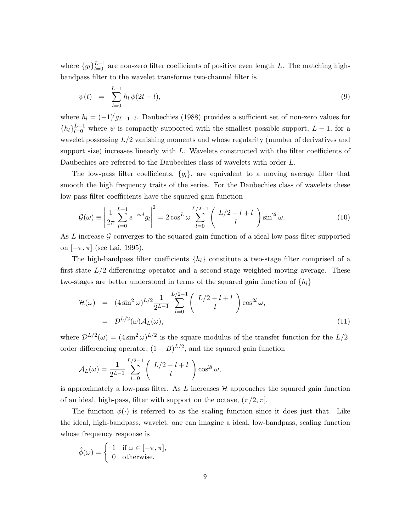where  ${g_l}_{l=0}^{L-1}$  are non-zero filter coefficients of positive even length L. The matching highbandpass filter to the wavelet transforms two-channel filter is

$$
\psi(t) = \sum_{l=0}^{L-1} h_l \, \phi(2t - l), \tag{9}
$$

where  $h_l = (-1)^l g_{L-1-l}$ . Daubechies (1988) provides a sufficient set of non-zero values for  ${h_l}_{l=0}^{L-1}$  where  $\psi$  is compactly supported with the smallest possible support,  $L-1$ , for a wavelet possessing  $L/2$  vanishing moments and whose regularity (number of derivatives and support size) increases linearly with  $L$ . Wavelets constructed with the filter coefficients of Daubechies are referred to the Daubechies class of wavelets with order L.

The low-pass filter coefficients,  $\{g_l\}$ , are equivalent to a moving average filter that smooth the high frequency traits of the series. For the Daubechies class of wavelets these low-pass filter coefficients have the squared-gain function

$$
\mathcal{G}(\omega) \equiv \left| \frac{1}{2\pi} \sum_{l=0}^{L-1} e^{-i\omega l} g_l \right|^2 = 2 \cos^L \omega \sum_{l=0}^{L/2-1} \left( \frac{L/2 - l + l}{l} \right) \sin^{2l} \omega.
$$
 (10)

As L increase  $\mathcal G$  converges to the squared-gain function of a ideal low-pass filter supported on  $[-\pi, \pi]$  (see Lai, 1995).

The high-bandpass filter coefficients  $\{h_l\}$  constitute a two-stage filter comprised of a first-state  $L/2$ -differencing operator and a second-stage weighted moving average. These two-stages are better understood in terms of the squared gain function of  $\{h_l\}$ 

$$
\mathcal{H}(\omega) = (4\sin^2 \omega)^{L/2} \frac{1}{2^{L-1}} \sum_{l=0}^{L/2-1} \binom{L/2 - l + l}{l} \cos^{2l} \omega,
$$
  
=  $\mathcal{D}^{L/2}(\omega) \mathcal{A}_L(\omega),$  (11)

where  $\mathcal{D}^{L/2}(\omega) = (4 \sin^2 \omega)^{L/2}$  is the square modulus of the transfer function for the  $L/2$ order differencing operator,  $(1 - B)^{L/2}$ , and the squared gain function

$$
\mathcal{A}_L(\omega) = \frac{1}{2^{L-1}} \sum_{l=0}^{L/2-1} \left( \begin{array}{c} L/2 - l + l \\ l \end{array} \right) \cos^{2l} \omega,
$$

is approximately a low-pass filter. As  $L$  increases  $H$  approaches the squared gain function of an ideal, high-pass, filter with support on the octave,  $(\pi/2, \pi]$ .

The function  $\phi(\cdot)$  is referred to as the scaling function since it does just that. Like the ideal, high-bandpass, wavelet, one can imagine a ideal, low-bandpass, scaling function whose frequency response is

$$
\hat{\phi}(\omega) = \begin{cases} 1 & \text{if } \omega \in [-\pi, \pi], \\ 0 & \text{otherwise.} \end{cases}
$$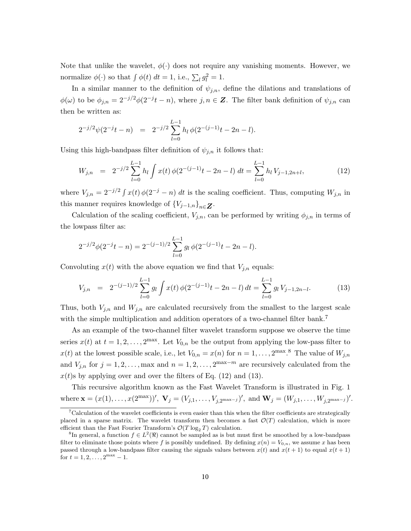Note that unlike the wavelet,  $\phi(\cdot)$  does not require any vanishing moments. However, we normalize  $\phi(\cdot)$  so that  $\int \phi(t) dt = 1$ , i.e.,  $\sum_l g_l^2 = 1$ .

In a similar manner to the definition of  $\psi_{j,n}$ , define the dilations and translations of  $\phi(\omega)$  to be  $\phi_{j,n} = 2^{-j/2}\phi(2^{-j}t - n)$ , where  $j, n \in \mathbb{Z}$ . The filter bank definition of  $\psi_{j,n}$  can then be written as:

$$
2^{-j/2}\psi(2^{-j}t-n) = 2^{-j/2}\sum_{l=0}^{L-1}h_l\,\phi(2^{-(j-1)}t-2n-l).
$$

Using this high-bandpass filter definition of  $\psi_{j,n}$  it follows that:

$$
W_{j,n} = 2^{-j/2} \sum_{l=0}^{L-1} h_l \int x(t) \phi(2^{-(j-1)}t - 2n - l) dt = \sum_{l=0}^{L-1} h_l V_{j-1,2n+l},
$$
(12)

where  $V_{j,n} = 2^{-j/2} \int x(t) \phi(2^{-j} - n) dt$  is the scaling coefficient. Thus, computing  $W_{j,n}$  in this manner requires knowledge of  ${V_{j-1,n}}_{n \in \mathbb{Z}}$ .

Calculation of the scaling coefficient,  $V_{j,n}$ , can be performed by writing  $\phi_{j,n}$  in terms of the lowpass filter as:

$$
2^{-j/2}\phi(2^{-j}t - n) = 2^{-(j-1)/2} \sum_{l=0}^{L-1} g_l \phi(2^{-(j-1)}t - 2n - l).
$$

Convoluting  $x(t)$  with the above equation we find that  $V_{j,n}$  equals:

$$
V_{j,n} = 2^{-(j-1)/2} \sum_{l=0}^{L-1} g_l \int x(t) \phi(2^{-(j-1)}t - 2n - l) dt = \sum_{l=0}^{L-1} g_l V_{j-1,2n-l}.
$$
 (13)

Thus, both  $V_{j,n}$  and  $W_{j,n}$  are calculated recursively from the smallest to the largest scale with the simple multiplication and addition operators of a two-channel filter bank.<sup>7</sup>

As an example of the two-channel filter wavelet transform suppose we observe the time series  $x(t)$  at  $t = 1, 2, ..., 2^{\max}$ . Let  $V_{0,n}$  be the output from applying the low-pass filter to  $x(t)$  at the lowest possible scale, i.e., let  $V_{0,n} = x(n)$  for  $n = 1, ..., 2^{\max}.$ <sup>8</sup> The value of  $W_{j,n}$ and  $V_{j,n}$  for  $j = 1, 2, \ldots, \text{max}$  and  $n = 1, 2, \ldots, 2^{\text{max}-m}$  are recursively calculated from the  $x(t)$ s by applying over and over the filters of Eq. (12) and (13).

This recursive algorithm known as the Fast Wavelet Transform is illustrated in Fig. 1 where  $\mathbf{x} = (x(1), \dots, x(2^{\max}))'$ ,  $\mathbf{V}_j = (V_{j,1}, \dots, V_{j,2^{\max-j}})'$ , and  $\mathbf{W}_j = (W_{j,1}, \dots, W_{j,2^{\max-j}})'$ .

<sup>&</sup>lt;sup>7</sup>Calculation of the wavelet coefficients is even easier than this when the filter coefficients are strategically placed in a sparse matrix. The wavelet transform then becomes a fast  $\mathcal{O}(T)$  calculation, which is more efficient than the Fast Fourier Transform's  $\mathcal{O}(T\log_2T)$  calculation.

<sup>&</sup>lt;sup>8</sup>In general, a function  $f \in L^2(\Re)$  cannot be sampled as is but must first be smoothed by a low-bandpass filter to eliminate those points where f is possibly undefined. By defining  $x(n) = V_{0,n}$ , we assume x has been passed through a low-bandpass filter causing the signals values between  $x(t)$  and  $x(t + 1)$  to equal  $x(t + 1)$ for  $t = 1, 2, \ldots, 2^{\max} - 1$ .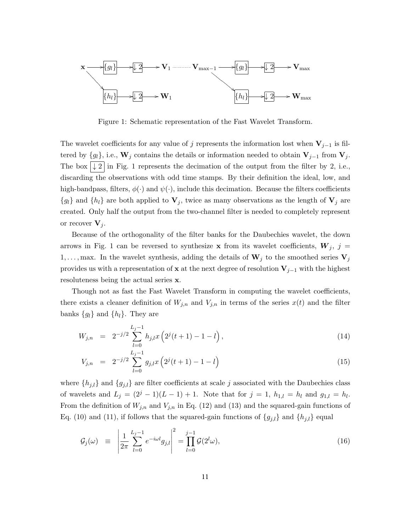

Figure 1: Schematic representation of the Fast Wavelet Transform.

The wavelet coefficients for any value of j represents the information lost when  $V_{j-1}$  is filtered by  $\{g_l\}$ , i.e.,  $\mathbf{W}_j$  contains the details or information needed to obtain  $\mathbf{V}_{j-1}$  from  $\mathbf{V}_j$ . The box  $\vert \downarrow 2 \vert$  in Fig. 1 represents the decimation of the output from the filter by 2, i.e., discarding the observations with odd time stamps. By their definition the ideal, low, and high-bandpass, filters,  $\phi(\cdot)$  and  $\psi(\cdot)$ , include this decimation. Because the filters coefficients  ${g_l}$  and  ${h_l}$  are both applied to  $V_j$ , twice as many observations as the length of  $V_j$  are created. Only half the output from the two-channel filter is needed to completely represent or recover  $V_i$ .

Because of the orthogonality of the filter banks for the Daubechies wavelet, the down arrows in Fig. 1 can be reversed to synthesize **x** from its wavelet coefficients,  $W_j$ ,  $j =$ 1,..., max. In the wavelet synthesis, adding the details of  $W_j$  to the smoothed series  $V_j$ provides us with a representation of x at the next degree of resolution  $V_{j-1}$  with the highest resoluteness being the actual series x.

Though not as fast the Fast Wavelet Transform in computing the wavelet coefficients, there exists a cleaner definition of  $W_{j,n}$  and  $V_{j,n}$  in terms of the series  $x(t)$  and the filter banks  ${g_l}$  and  ${h_l}$ . They are

$$
W_{j,n} = 2^{-j/2} \sum_{l=0}^{L_j - 1} h_{j,l} x \left( 2^j (t+1) - 1 - l \right), \tag{14}
$$

$$
V_{j,n} = 2^{-j/2} \sum_{l=0}^{L_j - 1} g_{j,l} x \left( 2^j(t+1) - 1 - l \right)
$$
 (15)

where  $\{h_{j,l}\}\$  and  $\{g_{j,l}\}\$ are filter coefficients at scale j associated with the Daubechies class of wavelets and  $L_j = (2^j - 1)(L - 1) + 1$ . Note that for  $j = 1$ ,  $h_{1,l} = h_l$  and  $g_{1,l} = h_l$ . From the definition of  $W_{j,n}$  and  $V_{j,n}$  in Eq. (12) and (13) and the squared-gain functions of Eq. (10) and (11), if follows that the squared-gain functions of  $\{g_{j,l}\}\$  and  $\{h_{j,l}\}\$ equal

$$
\mathcal{G}_j(\omega) \equiv \left| \frac{1}{2\pi} \sum_{l=0}^{L_j - 1} e^{-i\omega l} g_{j,l} \right|^2 = \prod_{l=0}^{j-1} \mathcal{G}(2^l \omega), \tag{16}
$$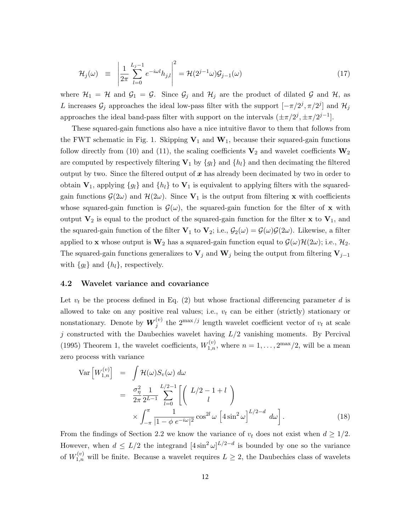$$
\mathcal{H}_j(\omega) \equiv \left| \frac{1}{2\pi} \sum_{l=0}^{L_j - 1} e^{-i\omega l} h_{j,l} \right|^2 = \mathcal{H}(2^{j-1}\omega) \mathcal{G}_{j-1}(\omega) \tag{17}
$$

where  $\mathcal{H}_1 = \mathcal{H}$  and  $\mathcal{G}_1 = \mathcal{G}$ . Since  $\mathcal{G}_j$  and  $\mathcal{H}_j$  are the product of dilated  $\mathcal{G}$  and  $\mathcal{H}$ , as L increases  $\mathcal{G}_j$  approaches the ideal low-pass filter with the support  $[-\pi/2^j, \pi/2^j]$  and  $\mathcal{H}_j$ approaches the ideal band-pass filter with support on the intervals  $(\pm \pi/2^j, \pm \pi/2^{j-1}]$ .

These squared-gain functions also have a nice intuitive flavor to them that follows from the FWT schematic in Fig. 1. Skipping  $V_1$  and  $W_1$ , because their squared-gain functions follow directly from (10) and (11), the scaling coefficients  $V_2$  and wavelet coefficients  $W_2$ are computed by respectively filtering  $V_1$  by  $\{g_l\}$  and  $\{h_l\}$  and then decimating the filtered output by two. Since the filtered output of  $x$  has already been decimated by two in order to obtain  $V_1$ , applying  $\{g_l\}$  and  $\{h_l\}$  to  $V_1$  is equivalent to applying filters with the squaredgain functions  $\mathcal{G}(2\omega)$  and  $\mathcal{H}(2\omega)$ . Since  $\mathbf{V}_1$  is the output from filtering **x** with coefficients whose squared-gain function is  $\mathcal{G}(\omega)$ , the squared-gain function for the filter of x with output  $V_2$  is equal to the product of the squared-gain function for the filter x to  $V_1$ , and the squared-gain function of the filter  $V_1$  to  $V_2$ ; i.e.,  $\mathcal{G}_2(\omega) = \mathcal{G}(\omega)\mathcal{G}(2\omega)$ . Likewise, a filter applied to **x** whose output is  $\mathbf{W}_2$  has a squared-gain function equal to  $\mathcal{G}(\omega)\mathcal{H}(2\omega)$ ; i.e.,  $\mathcal{H}_2$ . The squared-gain functions generalizes to  $V_j$  and  $W_j$  being the output from filtering  $V_{j-1}$ with  $\{g_l\}$  and  $\{h_l\}$ , respectively.

### 4.2 Wavelet variance and covariance

Let  $v_t$  be the process defined in Eq. (2) but whose fractional differencing parameter d is allowed to take on any positive real values; i.e.,  $v_t$  can be either (strictly) stationary or nonstationary. Denote by  $\boldsymbol{W}_j^{(v)}$  the  $2^{\max/j}$  length wavelet coefficient vector of  $v_t$  at scale j constructed with the Daubechies wavelet having  $L/2$  vanishing moments. By Percival (1995) Theorem 1, the wavelet coefficients,  $W_{1,n}^{(v)}$ , where  $n = 1, \ldots, 2^{\max}/2$ , will be a mean zero process with variance

$$
\operatorname{Var}\left[W_{1,n}^{(v)}\right] = \int \mathcal{H}(\omega) S_v(\omega) \, d\omega
$$
  
= 
$$
\frac{\sigma_\eta^2}{2\pi} \frac{1}{2^{L-1}} \sum_{l=0}^{L/2-1} \left[ \left( \frac{L/2 - 1 + l}{l} \right) \times \int_{-\pi}^{\pi} \frac{1}{|1 - \phi e^{-i\omega}|^2} \cos^{2l} \omega \left[ 4 \sin^2 \omega \right]^{L/2 - d} d\omega \right].
$$
 (18)

From the findings of Section 2.2 we know the variance of  $v_t$  does not exist when  $d \geq 1/2$ . However, when  $d \leq L/2$  the integrand  $[4 \sin^2 \omega]^{L/2-d}$  is bounded by one so the variance of  $W_{1,n}^{(v)}$  will be finite. Because a wavelet requires  $L \geq 2$ , the Daubechies class of wavelets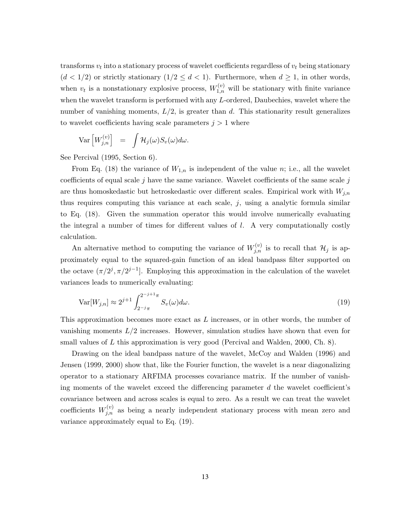transforms  $v_t$  into a stationary process of wavelet coefficients regardless of  $v_t$  being stationary  $(d < 1/2)$  or strictly stationary  $(1/2 \leq d < 1)$ . Furthermore, when  $d \geq 1$ , in other words, when  $v_t$  is a nonstationary explosive process,  $W_{1,n}^{(v)}$  will be stationary with finite variance when the wavelet transform is performed with any L-ordered, Daubechies, wavelet where the number of vanishing moments,  $L/2$ , is greater than d. This stationarity result generalizes to wavelet coefficients having scale parameters  $j > 1$  where

$$
\text{Var}\left[W_{j,n}^{(v)}\right] = \int \mathcal{H}_j(\omega) S_v(\omega) d\omega.
$$

See Percival (1995, Section 6).

From Eq. (18) the variance of  $W_{1,n}$  is independent of the value n; i.e., all the wavelet coefficients of equal scale  $j$  have the same variance. Wavelet coefficients of the same scale  $j$ are thus homoskedastic but hetroskedastic over different scales. Empirical work with  $W_{j,n}$ thus requires computing this variance at each scale,  $j$ , using a analytic formula similar to Eq. (18). Given the summation operator this would involve numerically evaluating the integral a number of times for different values of  $l$ . A very computationally costly calculation.

An alternative method to computing the variance of  $W_{j,n}^{(v)}$  is to recall that  $\mathcal{H}_j$  is approximately equal to the squared-gain function of an ideal bandpass filter supported on the octave  $(\pi/2^j, \pi/2^{j-1}]$ . Employing this approximation in the calculation of the wavelet variances leads to numerically evaluating:

$$
\text{Var}[W_{j,n}] \approx 2^{j+1} \int_{2^{-j}\pi}^{2^{-j+1}\pi} S_v(\omega) d\omega.
$$
\n(19)

This approximation becomes more exact as L increases, or in other words, the number of vanishing moments  $L/2$  increases. However, simulation studies have shown that even for small values of  $L$  this approximation is very good (Percival and Walden, 2000, Ch. 8).

Drawing on the ideal bandpass nature of the wavelet, McCoy and Walden (1996) and Jensen (1999, 2000) show that, like the Fourier function, the wavelet is a near diagonalizing operator to a stationary ARFIMA processes covariance matrix. If the number of vanishing moments of the wavelet exceed the differencing parameter  $d$  the wavelet coefficient's covariance between and across scales is equal to zero. As a result we can treat the wavelet coefficients  $W_{j,n}^{(v)}$  as being a nearly independent stationary process with mean zero and variance approximately equal to Eq. (19).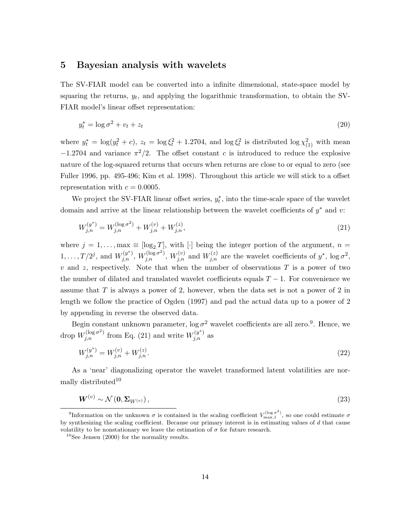### 5 Bayesian analysis with wavelets

The SV-FIAR model can be converted into a infinite dimensional, state-space model by squaring the returns,  $y_t$ , and applying the logarithmic transformation, to obtain the SV-FIAR model's linear offset representation:

$$
y_t^* = \log \sigma^2 + v_t + z_t \tag{20}
$$

where  $y_t^* = \log(y_t^2 + c)$ ,  $z_t = \log \xi_t^2 + 1.2704$ , and  $\log \xi_t^2$  is distributed  $\log \chi_{(1)}^2$  with mean  $-1.2704$  and variance  $\pi^2/2$ . The offset constant c is introduced to reduce the explosive nature of the log-squared returns that occurs when returns are close to or equal to zero (see Fuller 1996, pp. 495-496; Kim et al. 1998). Throughout this article we will stick to a offset representation with  $c = 0.0005$ .

We project the SV-FIAR linear offset series,  $y_t^*$ , into the time-scale space of the wavelet domain and arrive at the linear relationship between the wavelet coefficients of  $y^*$  and  $v$ :

$$
W_{j,n}^{(y^*)} = W_{j,n}^{(\log \sigma^2)} + W_{j,n}^{(v)} + W_{j,n}^{(z)},
$$
\n(21)

where  $j = 1, \ldots, \max \equiv [\log_2 T],$  with  $[\cdot]$  being the integer portion of the argument,  $n =$  $1, \ldots, T/2^j$ , and  $W_{j,n}^{(y^*)}$ ,  $W_{j,n}^{(\log \sigma^2)}$ ,  $W_{j,n}^{(v)}$  and  $W_{j,n}^{(z)}$  are the wavelet coefficients of  $y^*$ ,  $\log \sigma^2$ ,  $v$  and  $z$ , respectively. Note that when the number of observations  $T$  is a power of two the number of dilated and translated wavelet coefficients equals  $T - 1$ . For convenience we assume that  $T$  is always a power of 2, however, when the data set is not a power of 2 in length we follow the practice of Ogden (1997) and pad the actual data up to a power of 2 by appending in reverse the observed data.

Begin constant unknown parameter,  $\log \sigma^2$  wavelet coefficients are all zero.<sup>9</sup>. Hence, we drop  $W_{j,n}^{(\log \sigma^2)}$  from Eq. (21) and write  $W_{j,n}^{(y^*)}$  as

$$
W_{j,n}^{(y^*)} = W_{j,n}^{(v)} + W_{j,n}^{(z)}.\tag{22}
$$

As a 'near' diagonalizing operator the wavelet transformed latent volatilities are normally distributed<sup>10</sup>

$$
W^{(v)} \sim \mathcal{N}\left(0, \Sigma_{W^{(v)}}\right),\tag{23}
$$

<sup>&</sup>lt;sup>9</sup>Information on the unknown  $\sigma$  is contained in the scaling coefficient  $V_{\text{max},1}^{(\log \sigma^2)}$ , so one could estimate  $\sigma$ by synthesizing the scaling coefficient. Because our primary interest is in estimating values of  $d$  that cause volatility to be nonstationary we leave the estimation of  $\sigma$  for future research.

 $10$ See Jensen (2000) for the normality results.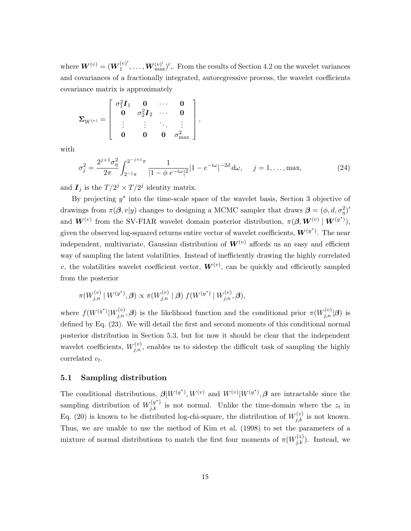where  $\boldsymbol{W}^{(v)} = (\boldsymbol{W}_1^{(v)'}$  $\mathbf{W}_{1}^{(v)},\ldots,\mathbf{W}_{\max}^{(v)'}$  , From the results of Section 4.2 on the wavelet variances and covariances of a fractionally integrated, autoregressive process, the wavelet coefficients covariance matrix is approximately

$$
\mathbf{\Sigma}_{W^{(v)}} = \left[ \begin{array}{cccc} \sigma_1^2 \boldsymbol{I}_1 & \boldsymbol{0} & \cdots & \boldsymbol{0} \\ \boldsymbol{0} & \sigma_2^2 \boldsymbol{I}_2 & \cdots & \boldsymbol{0} \\ \vdots & \vdots & \ddots & \vdots \\ \boldsymbol{0} & \boldsymbol{0} & \boldsymbol{0} & \sigma_{\max}^2 \end{array} \right],
$$

with

$$
\sigma_j^2 = \frac{2^{j+1}\sigma_\eta^2}{2\pi} \int_{2^{-j}\pi}^{2^{-j+1}\pi} \frac{1}{|1-\phi e^{-i\omega}|^2} |1-e^{-i\omega}|^{-2d} d\omega, \quad j = 1, \dots, \text{max}, \tag{24}
$$

and  $I_j$  is the  $T/2^j \times T/2^j$  identity matrix.

By projecting  $y^*$  into the time-scale space of the wavelet basis, Section 3 objective of drawings from  $\pi(\beta, v|y)$  changes to designing a MCMC sampler that draws  $\beta = (\phi, d, \sigma_{\eta}^2)'$ and  $\boldsymbol{W}^{(v)}$  from the SV-FIAR wavelet domain posterior distribution,  $\pi(\boldsymbol{\beta}, \boldsymbol{W}^{(v)} | \boldsymbol{W}^{(y^*)})$ , given the observed log-squared returns entire vector of wavelet coefficients,  $\boldsymbol{W}^{(y^*)}$ . The near independent, multivariate, Gaussian distribution of  $W^{(v)}$  affords us an easy and efficient way of sampling the latent volatilities. Instead of inefficiently drawing the highly correlated v, the volatilities wavelet coefficient vector,  $\boldsymbol{W}^{(v)}$ , can be quickly and efficiently sampled from the posterior

$$
\pi(W_{j,n}^{(v)} \mid W^{(y^*)}, \beta) \propto \pi(W_{j,n}^{(v)} \mid \beta) f(W^{(y^*)} \mid W_{j,n}^{(v)}, \beta),
$$

where  $f(W^{(y^*)}|W^{(v)}_{j,n},\beta)$  is the likelihood function and the conditional prior  $\pi(W^{(v)}_{j,n}|\beta)$  is defined by Eq. (23). We will detail the first and second moments of this conditional normal posterior distribution in Section 5.3, but for now it should be clear that the independent wavelet coefficients,  $W_{j,n}^{(v)}$ , enables us to sidestep the difficult task of sampling the highly correlated  $v_t$ .

### 5.1 Sampling distribution

The conditional distributions,  $\mathcal{B}|W^{(y^*)}, W^{(v)}|$  and  $W^{(v)}|W^{(y^*)}, \mathcal{B}$  are intractable since the sampling distribution of  $W_{j,k}^{(y^*)}$  is not normal. Unlike the time-domain where the  $z_t$  in Eq. (20) is known to be distributed log-chi-square, the distribution of  $W_{j,k}^{(z)}$  is not known. Thus, we are unable to use the method of Kim et al. (1998) to set the parameters of a mixture of normal distributions to match the first four moments of  $\pi(W_{j,k}^{(z)})$ . Instead, we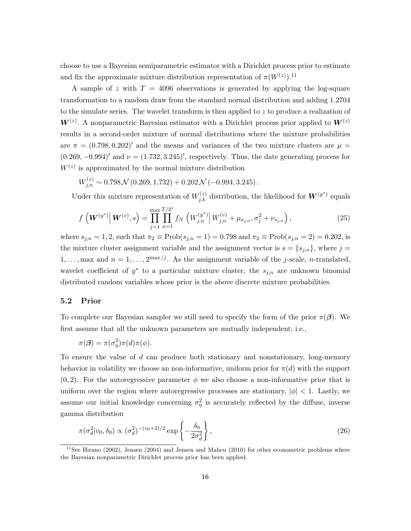choose to use a Bayesian semiparametric estimator with a Dirichlet process prior to estimate and fix the approximate mixture distribution representation of  $\pi(W^{(z)})$ .<sup>11</sup>

A sample of z with  $T = 4096$  observations is generated by applying the log-square transformation to a random draw from the standard normal distribution and adding 1.2704 to the simulate series. The wavelet transform is then applied to  $z$  to produce a realization of  $W^{(z)}$ . A nonparametric Bayesian estimator with a Dirichlet process prior applied to  $W^{(z)}$ results in a second-order mixture of normal distributions where the mixture probabilities are  $\pi = (0.798, 0.202)'$  and the means and variances of the two mixture clusters are  $\mu =$  $(0.269, -0.994)$ ' and  $\nu = (1.732, 3.245)$ ', respectively. Thus, the date generating process for  $W^{(z)}$  is approximated by the normal mixture distribution

 $W_{j,n}^{(z)} \sim 0.798 \mathcal{N} (0.269, 1.732) + 0.202 \mathcal{N} (-0.994, 3.245)$ .

Under this mixture representation of  $W_{j,k}^{(z)}$  distribution, the likelihood for  $\boldsymbol{W}^{(y^*)}$  equals

$$
f\left(\boldsymbol{W}^{(y^*)}\right|\boldsymbol{W}^{(v)},s\right) = \prod_{j=1}^{\max} \prod_{n=1}^{T/2^j} f_N\left(W_{j,n}^{(y^*)}\right| W_{j,n}^{(v)} + \mu_{s_{j,n}}, \sigma_j^2 + \nu_{s_{j,n}}\right),\tag{25}
$$

where  $s_{j,n} = 1, 2$ , such that  $\pi_2 \equiv \text{Prob}(s_{j,n} = 1) = 0.798$  and  $\pi_2 \equiv \text{Prob}(s_{j,n} = 2) = 0.202$ , is the mixture cluster assignment variable and the assignment vector is  $s = \{s_{j,n}\}\,$ , where  $j =$  $1, \ldots$ , max and  $n = 1, \ldots, 2^{\max/j}$ . As the assignment variable of the j-scale, n-translated, wavelet coefficient of  $y^*$  to a particular mixture cluster, the  $s_{j,n}$  are unknown binomial distributed random variables whose prior is the above discrete mixture probabilities.

#### 5.2 Prior

To complete our Bayesian sampler we still need to specify the form of the prior  $\pi(\beta)$ . We first assume that all the unknown parameters are mutually independent; i.e.,

$$
\pi(\boldsymbol{\beta}) = \pi(\sigma_{\eta}^2)\pi(d)\pi(\phi).
$$

To ensure the value of d can produce both stationary and nonstationary, long-memory behavior in volatility we choose an non-informative, uniform prior for  $\pi(d)$  with the support  $(0, 2)$ . For the autoregressive parameter  $\phi$  we also choose a non-informative prior that is uniform over the region where autoregressive processes are stationary,  $|\phi| < 1$ . Lastly, we assume our initial knowledge concerning  $\sigma_{\eta}^2$  is accurately reflected by the diffuse, inverse gamma distribution

$$
\pi(\sigma_d^2|v_0, \delta_0) \propto (\sigma_d^2)^{-(v_0+2)/2} \exp\left\{-\frac{\delta_0}{2\sigma_d^2}\right\},\tag{26}
$$

 $11$ See Hirano (2002), Jensen (2004) and Jensen and Maheu (2010) for other econometric problems where the Bayesian nonparametric Dirichlet process prior has been applied.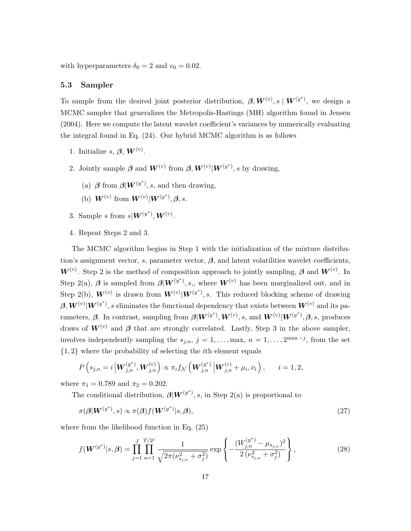with hyperparameters  $\delta_0 = 2$  and  $v_0 = 0.02$ .

### 5.3 Sampler

To sample from the desired joint posterior distribution,  $\boldsymbol{\beta}, \boldsymbol{W}^{(v)}, s \mid \boldsymbol{W}^{(y^*)}$ , we design a MCMC sampler that generalizes the Metropolis-Hastings (MH) algorithm found in Jensen (2004). Here we compute the latent wavelet coefficient's variances by numerically evaluating the integral found in Eq. (24). Our hybrid MCMC algorithm is as follows

- 1. Initialize  $s, \beta, \boldsymbol{W}^{(v)}$ .
- 2. Jointly sample  $\boldsymbol{\beta}$  and  $\boldsymbol{W}^{(v)}$  from  $\boldsymbol{\beta}, \boldsymbol{W}^{(v)} | \boldsymbol{W}^{(y^*)}$ , s by drawing,
	- (a)  $\beta$  from  $\beta | W^{(y^*)}, s$ , and then drawing,
	- (b)  $\bm{W}^{(v)}$  from  $\bm{W}^{(v)} | \bm{W}^{(y^*)}, \bm{\beta}, s$ .
- 3. Sample s from  $s|\boldsymbol{W}^{(y^*)}, \boldsymbol{W}^{(v)}$ .
- 4. Repeat Steps 2 and 3.

The MCMC algorithm begins in Step 1 with the initialization of the mixture distribution's assignment vector, s, parameter vector,  $\beta$ , and latent volatilities wavelet coefficients,  $W^{(v)}$ . Step 2 is the method of composition approach to jointly sampling,  $\beta$  and  $W^{(v)}$ . In Step 2(a),  $\beta$  is sampled from  $\beta | W^{(y^*)}, s$ , where  $W^{(v)}$  has been marginalized out, and in Step 2(b),  $\mathbf{W}^{(v)}$  is drawn from  $\mathbf{W}^{(v)}|\mathbf{W}^{(y^*)}$ , s. This reduced blocking scheme of drawing  $\beta, W^{(v)} | W^{(y^*)},$  s eliminates the functional dependency that exists between  $W^{(v)}$  and its parameters,  $\beta$ . In contrast, sampling from  $\beta | W^{(y^*)}, W^{(v)}, s$ , and  $W^{(v)} | W^{(y^*)}, \beta, s$ , produces draws of  $W^{(v)}$  and  $\beta$  that are strongly correlated. Lastly, Step 3 in the above sampler, involves independently sampling the  $s_{j,n}$ ,  $j = 1, \ldots, \text{max}, n = 1, \ldots, 2^{\text{max}-j}$ , from the set {1, 2} where the probability of selecting the ith element equals

$$
P\left(s_{j,n}=i\left|\mathbf{W}_{j,n}^{(y^*)},\mathbf{W}_{j,n}^{(v)}\right.\right)\propto\pi_if_{\mathcal{N}}\left(\mathbf{W}_{j,n}^{(y^*)}\left|\mathbf{W}_{j,n}^{(v)}+\mu_i,\nu_i\right.\right),\qquad i=1,2,
$$

where  $\pi_1 = 0.789$  and  $\pi_2 = 0.202$ .

The conditional distribution,  $\boldsymbol{\beta}|\boldsymbol{W}^{(y^*)}, s$ , in Step 2(a) is proportional to

$$
\pi(\boldsymbol{\beta}|\boldsymbol{W}^{(y^*)},s) \propto \pi(\boldsymbol{\beta})f(\boldsymbol{W}^{(y^*)}|s,\boldsymbol{\beta}),
$$
\n(27)

where from the likelihood function in Eq. (25)

$$
f(\boldsymbol{W}^{(y^*)}|s,\beta) = \prod_{j=1}^{J} \prod_{n=1}^{T/2^j} \frac{1}{\sqrt{2\pi(\nu_{s_{j,n}}^2 + \sigma_j^2)}} \exp\left\{-\frac{(W_{j,n}^{(y^*)} - \mu_{s_{j,n}})^2}{2(\nu_{s_{j,n}}^2 + \sigma_j^2)}\right\},
$$
(28)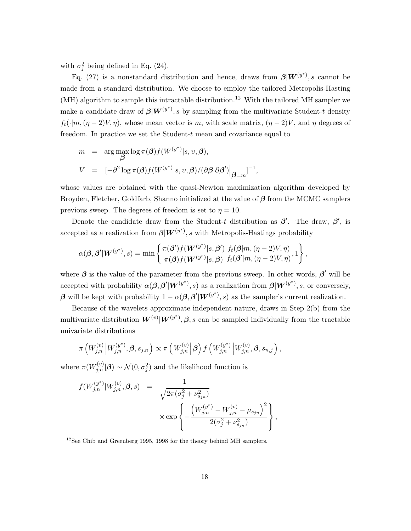with  $\sigma_j^2$  being defined in Eq. (24).

Eq. (27) is a nonstandard distribution and hence, draws from  $\beta |W^{(y^*)}, s$  cannot be made from a standard distribution. We choose to employ the tailored Metropolis-Hasting  $(MH)$  algorithm to sample this intractable distribution.<sup>12</sup> With the tailored MH sampler we make a candidate draw of  $\beta | W^{(y^*)}, s$  by sampling from the multivariate Student-t density  $f_t(\cdot|m,(n-2)V,\eta)$ , whose mean vector is m, with scale matrix,  $(\eta-2)V$ , and  $\eta$  degrees of freedom. In practice we set the Student- $t$  mean and covariance equal to

$$
m = \arg \max_{\beta} \log \pi(\beta) f(W^{(y^*)}|s, v, \beta),
$$
  

$$
V = [-\partial^2 \log \pi(\beta) f(W^{(y^*)}|s, v, \beta) / (\partial \beta \partial \beta')|_{\beta=m}]^{-1},
$$

whose values are obtained with the quasi-Newton maximization algorithm developed by Broyden, Fletcher, Goldfarb, Shanno initialized at the value of  $\beta$  from the MCMC samplers previous sweep. The degrees of freedom is set to  $\eta = 10$ .

Denote the candidate draw from the Student-t distribution as  $\beta'$ . The draw,  $\beta'$ , is accepted as a realization from  $\beta | W^{(y^*)}, s$  with Metropolis-Hastings probability

$$
\alpha(\boldsymbol{\beta},\boldsymbol{\beta}'|\boldsymbol{W}^{(y^*)},s)=\min\left\{\frac{\pi(\boldsymbol{\beta}')f(\boldsymbol{W}^{(y^*)}|s,\boldsymbol{\beta}')}{\pi(\boldsymbol{\beta})f(\boldsymbol{W}^{(y^*)}|s,\boldsymbol{\beta})}\frac{f_t(\boldsymbol{\beta}|m,(\eta-2)V,\eta)}{f_t(\boldsymbol{\beta}'|m,(\eta-2)V,\eta)},1\right\},\,
$$

where  $\beta$  is the value of the parameter from the previous sweep. In other words,  $\beta'$  will be accepted with probability  $\alpha(\boldsymbol{\beta},\boldsymbol{\beta}'|\boldsymbol{W}^{(y^*)},s)$  as a realization from  $\boldsymbol{\beta}|\boldsymbol{W}^{(y^*)},s,$  or conversely, β will be kept with probability  $1 - \alpha(\beta, \beta' | W^{(y^*)}, s)$  as the sampler's current realization.

Because of the wavelets approximate independent nature, draws in Step 2(b) from the multivariate distribution  $W^{(v)}|W^{(y^*)}, \beta$ , s can be sampled individually from the tractable univariate distributions

$$
\pi\left(W_{j,n}^{(v)}\left|W_{j,n}^{(y^*)},\boldsymbol{\beta},s_{j,n}\right.\right)\propto \pi\left(W_{j,n}^{(v)}\left|\boldsymbol{\beta}\right.\right)f\left(W_{j,n}^{(y^*)}\left|W_{j,n}^{(v)},\boldsymbol{\beta},s_{n,j}\right.\right),
$$

where  $\pi(W_{j,n}^{(v)}|\mathcal{B}) \sim \mathcal{N}(0, \sigma_j^2)$  and the likelihood function is

$$
f(W_{j,n}^{(y^*)}|W_{j,n}^{(v)}, \beta, s) = \frac{1}{\sqrt{2\pi(\sigma_j^2 + \nu_{s_{jn}}^2)}}
$$
  
 
$$
\times \exp\left\{-\frac{\left(W_{j,n}^{(y^*)}-W_{j,n}^{(v)}-\mu_{s_{jn}}\right)^2}{2(\sigma_j^2 + \nu_{s_{jn}}^2)}\right\},
$$

 $12$ See Chib and Greenberg 1995, 1998 for the theory behind MH samplers.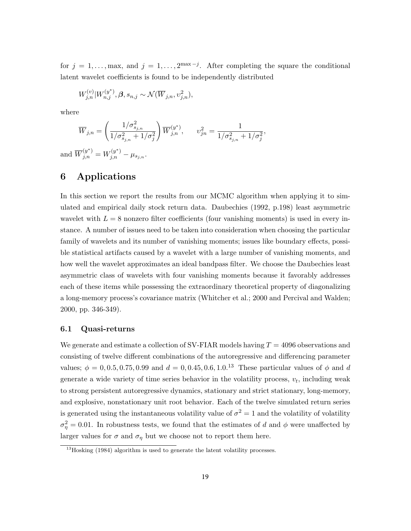for  $j = 1, \ldots, \text{max}$ , and  $j = 1, \ldots, 2^{\text{max}-j}$ . After completing the square the conditional latent wavelet coefficients is found to be independently distributed

,

$$
W_{j,n}^{(v)}|W_{n,j}^{(y^*)}, \beta, s_{n,j} \sim \mathcal{N}(\overline{W}_{j,n}, \nu_{j,n}^2),
$$

where

$$
\overline{W}_{j,n} = \left(\frac{1/\sigma_{s_{j,n}}^2}{1/\sigma_{s_{j,n}}^2 + 1/\sigma_j^2}\right) \overline{W}_{j,n}^{(y^*)}, \qquad v_{jn}^2 = \frac{1}{1/\sigma_{s_{j,n}}^2 + 1/\sigma_j^2}
$$

and  $\overline{W}_{j,n}^{(y^*)} = W_{j,n}^{(y^*)} - \mu_{s_{j,n}}.$ 

# 6 Applications

In this section we report the results from our MCMC algorithm when applying it to simulated and empirical daily stock return data. Daubechies (1992, p.198) least asymmetric wavelet with  $L = 8$  nonzero filter coefficients (four vanishing moments) is used in every instance. A number of issues need to be taken into consideration when choosing the particular family of wavelets and its number of vanishing moments; issues like boundary effects, possible statistical artifacts caused by a wavelet with a large number of vanishing moments, and how well the wavelet approximates an ideal bandpass filter. We choose the Daubechies least asymmetric class of wavelets with four vanishing moments because it favorably addresses each of these items while possessing the extraordinary theoretical property of diagonalizing a long-memory process's covariance matrix (Whitcher et al.; 2000 and Percival and Walden; 2000, pp. 346-349).

#### 6.1 Quasi-returns

We generate and estimate a collection of SV-FIAR models having  $T = 4096$  observations and consisting of twelve different combinations of the autoregressive and differencing parameter values;  $\phi = 0, 0.5, 0.75, 0.99$  and  $d = 0, 0.45, 0.6, 1.0^{13}$  These particular values of  $\phi$  and d generate a wide variety of time series behavior in the volatility process,  $v_t$ , including weak to strong persistent autoregressive dynamics, stationary and strict stationary, long-memory, and explosive, nonstationary unit root behavior. Each of the twelve simulated return series is generated using the instantaneous volatility value of  $\sigma^2 = 1$  and the volatility of volatility  $\sigma_{\eta}^2 = 0.01$ . In robustness tests, we found that the estimates of d and  $\phi$  were unaffected by larger values for  $\sigma$  and  $\sigma_{\eta}$  but we choose not to report them here.

<sup>&</sup>lt;sup>13</sup>Hosking (1984) algorithm is used to generate the latent volatility processes.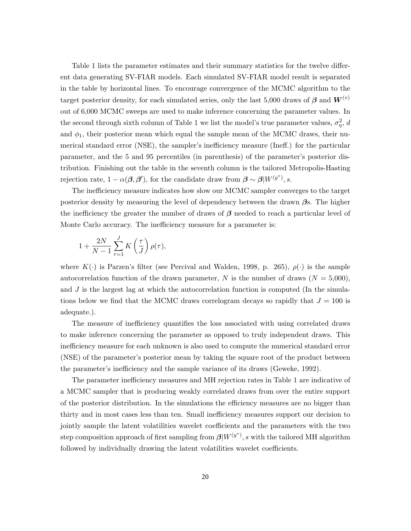Table 1 lists the parameter estimates and their summary statistics for the twelve different data generating SV-FIAR models. Each simulated SV-FIAR model result is separated in the table by horizontal lines. To encourage convergence of the MCMC algorithm to the target posterior density, for each simulated series, only the last 5,000 draws of  $\beta$  and  $W^{(v)}$ out of 6,000 MCMC sweeps are used to make inference concerning the parameter values. In the second through sixth column of Table 1 we list the model's true parameter values,  $\sigma_{\eta}^2$ , d and  $\phi_1$ , their posterior mean which equal the sample mean of the MCMC draws, their numerical standard error (NSE), the sampler's inefficiency measure (Ineff.) for the particular parameter, and the 5 and 95 percentiles (in parenthesis) of the parameter's posterior distribution. Finishing out the table in the seventh column is the tailored Metropolis-Hasting rejection rate,  $1 - \alpha(\beta, \beta')$ , for the candidate draw from  $\beta \sim \beta |W^{(y^*)}, s$ .

The inefficiency measure indicates how slow our MCMC sampler converges to the target posterior density by measuring the level of dependency between the drawn  $\beta$ s. The higher the inefficiency the greater the number of draws of  $\beta$  needed to reach a particular level of Monte Carlo accuracy. The inefficiency measure for a parameter is:

$$
1 + \frac{2N}{N-1} \sum_{\tau=1}^{J} K\left(\frac{\tau}{J}\right) \rho(\tau),
$$

where  $K(\cdot)$  is Parzen's filter (see Percival and Walden, 1998, p. 265),  $\rho(\cdot)$  is the sample autocorrelation function of the drawn parameter, N is the number of draws  $(N = 5,000)$ , and  $J$  is the largest lag at which the autocorrelation function is computed (In the simulations below we find that the MCMC draws correlogram decays so rapidly that  $J = 100$  is adequate.).

The measure of inefficiency quantifies the loss associated with using correlated draws to make inference concerning the parameter as opposed to truly independent draws. This inefficiency measure for each unknown is also used to compute the numerical standard error (NSE) of the parameter's posterior mean by taking the square root of the product between the parameter's inefficiency and the sample variance of its draws (Geweke, 1992).

The parameter inefficiency measures and MH rejection rates in Table 1 are indicative of a MCMC sampler that is producing weakly correlated draws from over the entire support of the posterior distribution. In the simulations the efficiency measures are no bigger than thirty and in most cases less than ten. Small inefficiency measures support our decision to jointly sample the latent volatilities wavelet coefficients and the parameters with the two step composition approach of first sampling from  $\beta |W^{(y^*)}, s$  with the tailored MH algorithm followed by individually drawing the latent volatilities wavelet coefficients.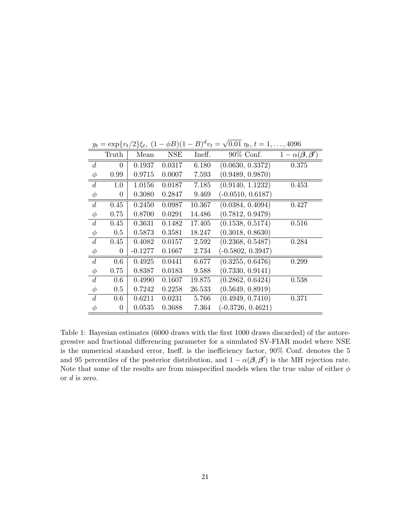| $\boldsymbol{\nu}$ | 1 L      | J 3 <sup>U</sup> / | ╯          |        | $\cdots$            |                                                    |
|--------------------|----------|--------------------|------------|--------|---------------------|----------------------------------------------------|
|                    | Truth    | Mean               | <b>NSE</b> | Ineff. | $90\%$ Conf.        | $1-\alpha(\boldsymbol{\beta},\boldsymbol{\beta}')$ |
| $\boldsymbol{d}$   | $\theta$ | 0.1937             | 0.0317     | 6.180  | (0.0630, 0.3372)    | 0.375                                              |
| $\phi$             | 0.99     | 0.9715             | 0.0007     | 7.593  | (0.9489, 0.9870)    |                                                    |
| $\boldsymbol{d}$   | 1.0      | 1.0156             | 0.0187     | 7.185  | (0.9140, 1.1232)    | 0.453                                              |
| $\phi$             | 0        | 0.3080             | 0.2847     | 9.469  | $(-0.0510, 0.6187)$ |                                                    |
| d                  | 0.45     | 0.2450             | 0.0987     | 10.367 | (0.0384, 0.4094)    | 0.427                                              |
| $\phi$             | 0.75     | 0.8700             | 0.0291     | 14.486 | (0.7812, 0.9479)    |                                                    |
| $\boldsymbol{d}$   | 0.45     | 0.3631             | 0.1482     | 17.405 | (0.1538, 0.5174)    | 0.516                                              |
| $\phi$             | 0.5      | 0.5873             | 0.3581     | 18.247 | (0.3018, 0.8630)    |                                                    |
| $\boldsymbol{d}$   | 0.45     | 0.4082             | 0.0157     | 2.592  | (0.2368, 0.5487)    | 0.284                                              |
| $\phi$             | $\theta$ | $-0.1277$          | 0.1667     | 2.734  | $(-0.5802, 0.3947)$ |                                                    |
| $\boldsymbol{d}$   | 0.6      | 0.4925             | 0.0441     | 6.677  | (0.3255, 0.6476)    | 0.299                                              |
| $\phi$             | 0.75     | 0.8387             | 0.0183     | 9.588  | (0.7330, 0.9141)    |                                                    |
| $\boldsymbol{d}$   | 0.6      | 0.4990             | 0.1607     | 19.875 | (0.2862, 0.6424)    | 0.538                                              |
| $\phi$             | 0.5      | 0.7242             | 0.2258     | 26.533 | (0.5649, 0.8919)    |                                                    |
| $\boldsymbol{d}$   | 0.6      | 0.6211             | 0.0231     | 5.766  | (0.4949, 0.7410)    | 0.371                                              |
| $\phi$             | $\theta$ | 0.0535             | 0.3688     | 7.364  | $(-0.3726, 0.4621)$ |                                                    |

 $y_t = \exp\{v_t/2\}\xi_t, \ (1 - \phi B)(1 - B)^d v_t = \sqrt{\frac{\xi_t}{\xi_t}}$  $0.01 \eta_t, t = 1, \ldots, 4096$ 

Table 1: Bayesian estimates (6000 draws with the first 1000 draws discarded) of the autoregressive and fractional differencing parameter for a simulated SV-FIAR model where NSE is the numerical standard error, Ineff. is the inefficiency factor, 90% Conf. denotes the 5 and 95 percentiles of the posterior distribution, and  $1 - \alpha(\beta, \beta')$  is the MH rejection rate. Note that some of the results are from misspecified models when the true value of either  $\phi$ or  $d$  is zero.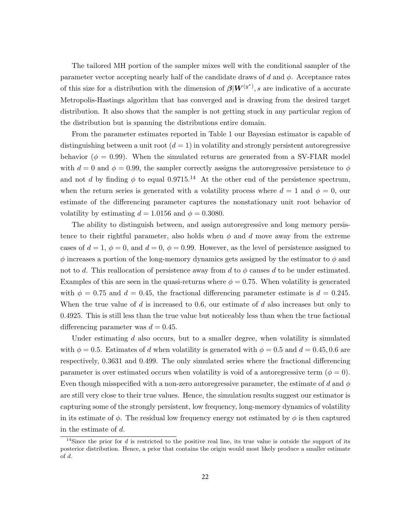The tailored MH portion of the sampler mixes well with the conditional sampler of the parameter vector accepting nearly half of the candidate draws of d and  $\phi$ . Acceptance rates of this size for a distribution with the dimension of  $\beta |W^{(y^*)}, s$  are indicative of a accurate Metropolis-Hastings algorithm that has converged and is drawing from the desired target distribution. It also shows that the sampler is not getting stuck in any particular region of the distribution but is spanning the distributions entire domain.

From the parameter estimates reported in Table 1 our Bayesian estimator is capable of distinguishing between a unit root  $(d = 1)$  in volatility and strongly persistent autoregressive behavior ( $\phi = 0.99$ ). When the simulated returns are generated from a SV-FIAR model with  $d = 0$  and  $\phi = 0.99$ , the sampler correctly assigns the autoregressive persistence to  $\phi$ and not d by finding  $\phi$  to equal 0.9715.<sup>14</sup> At the other end of the persistence spectrum, when the return series is generated with a volatility process where  $d = 1$  and  $\phi = 0$ , our estimate of the differencing parameter captures the nonstationary unit root behavior of volatility by estimating  $d = 1.0156$  and  $\phi = 0.3080$ .

The ability to distinguish between, and assign autoregressive and long memory persistence to their rightful parameter, also holds when  $\phi$  and d move away from the extreme cases of  $d = 1$ ,  $\phi = 0$ , and  $d = 0$ ,  $\phi = 0.99$ . However, as the level of persistence assigned to  $\phi$  increases a portion of the long-memory dynamics gets assigned by the estimator to  $\phi$  and not to d. This reallocation of persistence away from d to  $\phi$  causes d to be under estimated. Examples of this are seen in the quasi-returns where  $\phi = 0.75$ . When volatility is generated with  $\phi = 0.75$  and  $d = 0.45$ , the fractional differencing parameter estimate is  $d = 0.245$ . When the true value of  $d$  is increased to 0.6, our estimate of  $d$  also increases but only to 0.4925. This is still less than the true value but noticeably less than when the true factional differencing parameter was  $d = 0.45$ .

Under estimating d also occurs, but to a smaller degree, when volatility is simulated with  $\phi = 0.5$ . Estimates of d when volatility is generated with  $\phi = 0.5$  and  $d = 0.45, 0.6$  are respectively, 0.3631 and 0.499. The only simulated series where the fractional differencing parameter is over estimated occurs when volatility is void of a autoregressive term ( $\phi = 0$ ). Even though misspecified with a non-zero autoregressive parameter, the estimate of d and  $\phi$ are still very close to their true values. Hence, the simulation results suggest our estimator is capturing some of the strongly persistent, low frequency, long-memory dynamics of volatility in its estimate of  $\phi$ . The residual low frequency energy not estimated by  $\phi$  is then captured in the estimate of d.

 $14$ Since the prior for d is restricted to the positive real line, its true value is outside the support of its posterior distribution. Hence, a prior that contains the origin would most likely produce a smaller estimate of d.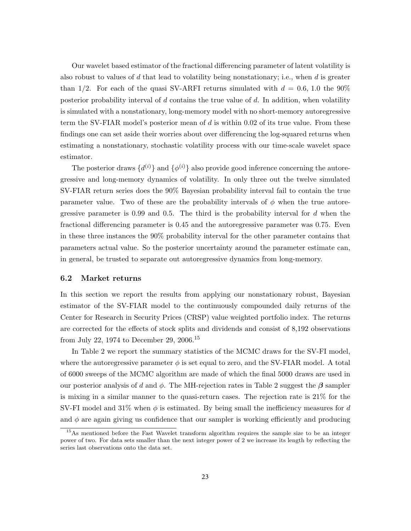Our wavelet based estimator of the fractional differencing parameter of latent volatility is also robust to values of  $d$  that lead to volatility being nonstationary; i.e., when  $d$  is greater than 1/2. For each of the quasi SV-ARFI returns simulated with  $d = 0.6, 1.0$  the 90% posterior probability interval of  $d$  contains the true value of  $d$ . In addition, when volatility is simulated with a nonstationary, long-memory model with no short-memory autoregressive term the SV-FIAR model's posterior mean of  $d$  is within 0.02 of its true value. From these findings one can set aside their worries about over differencing the log-squared returns when estimating a nonstationary, stochastic volatility process with our time-scale wavelet space estimator.

The posterior draws  $\{d^{(i)}\}$  and  $\{\phi^{(i)}\}$  also provide good inference concerning the autoregressive and long-memory dynamics of volatility. In only three out the twelve simulated SV-FIAR return series does the 90% Bayesian probability interval fail to contain the true parameter value. Two of these are the probability intervals of  $\phi$  when the true autoregressive parameter is  $0.99$  and  $0.5$ . The third is the probability interval for d when the fractional differencing parameter is 0.45 and the autoregressive parameter was 0.75. Even in these three instances the 90% probability interval for the other parameter contains that parameters actual value. So the posterior uncertainty around the parameter estimate can, in general, be trusted to separate out autoregressive dynamics from long-memory.

#### 6.2 Market returns

In this section we report the results from applying our nonstationary robust, Bayesian estimator of the SV-FIAR model to the continuously compounded daily returns of the Center for Research in Security Prices (CRSP) value weighted portfolio index. The returns are corrected for the effects of stock splits and dividends and consist of 8,192 observations from July 22, 1974 to December 29, 2006.<sup>15</sup>

In Table 2 we report the summary statistics of the MCMC draws for the SV-FI model, where the autoregressive parameter  $\phi$  is set equal to zero, and the SV-FIAR model. A total of 6000 sweeps of the MCMC algorithm are made of which the final 5000 draws are used in our posterior analysis of d and  $\phi$ . The MH-rejection rates in Table 2 suggest the  $\beta$  sampler is mixing in a similar manner to the quasi-return cases. The rejection rate is 21% for the SV-FI model and 31% when  $\phi$  is estimated. By being small the inefficiency measures for d and  $\phi$  are again giving us confidence that our sampler is working efficiently and producing

<sup>&</sup>lt;sup>15</sup>As mentioned before the Fast Wavelet transform algorithm requires the sample size to be an integer power of two. For data sets smaller than the next integer power of 2 we increase its length by reflecting the series last observations onto the data set.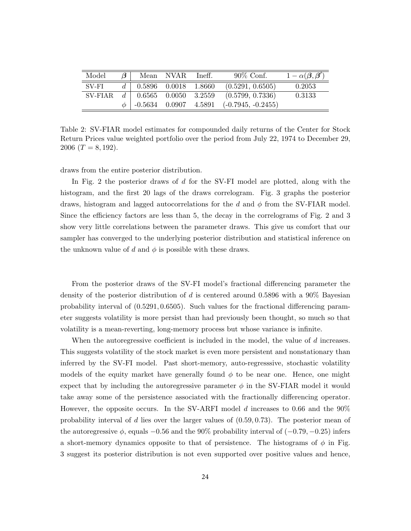| Model   | $\beta$ |                                           | Mean NVAR Ineff. | $90\%$ Conf.                                                     | $1-\alpha(\boldsymbol{\beta},\boldsymbol{\beta}')$ |
|---------|---------|-------------------------------------------|------------------|------------------------------------------------------------------|----------------------------------------------------|
| SV-FI   |         | $d \mid 0.5896 \quad 0.0018 \quad 1.8660$ |                  | (0.5291, 0.6505)                                                 | 0.2053                                             |
| SV-FIAR |         |                                           |                  | $d \mid 0.6565 \quad 0.0050 \quad 3.2559 \quad (0.5799, 0.7336)$ | 0.3133                                             |
|         |         |                                           |                  | $\phi$   -0.5634 0.0907 4.5891 (-0.7945, -0.2455)                |                                                    |

Table 2: SV-FIAR model estimates for compounded daily returns of the Center for Stock Return Prices value weighted portfolio over the period from July 22, 1974 to December 29, 2006 ( $T = 8,192$ ).

draws from the entire posterior distribution.

In Fig. 2 the posterior draws of d for the SV-FI model are plotted, along with the histogram, and the first 20 lags of the draws correlogram. Fig. 3 graphs the posterior draws, histogram and lagged autocorrelations for the d and  $\phi$  from the SV-FIAR model. Since the efficiency factors are less than 5, the decay in the correlograms of Fig. 2 and 3 show very little correlations between the parameter draws. This give us comfort that our sampler has converged to the underlying posterior distribution and statistical inference on the unknown value of d and  $\phi$  is possible with these draws.

From the posterior draws of the SV-FI model's fractional differencing parameter the density of the posterior distribution of d is centered around 0.5896 with a 90% Bayesian probability interval of (0.5291, 0.6505). Such values for the fractional differencing parameter suggests volatility is more persist than had previously been thought, so much so that volatility is a mean-reverting, long-memory process but whose variance is infinite.

When the autoregressive coefficient is included in the model, the value of d increases. This suggests volatility of the stock market is even more persistent and nonstationary than inferred by the SV-FI model. Past short-memory, auto-regresssive, stochastic volatility models of the equity market have generally found  $\phi$  to be near one. Hence, one might expect that by including the autoregressive parameter  $\phi$  in the SV-FIAR model it would take away some of the persistence associated with the fractionally differencing operator. However, the opposite occurs. In the SV-ARFI model d increases to 0.66 and the 90% probability interval of d lies over the larger values of  $(0.59, 0.73)$ . The posterior mean of the autoregressive  $\phi$ , equals  $-0.56$  and the 90% probability interval of  $(-0.79, -0.25)$  infers a short-memory dynamics opposite to that of persistence. The histograms of  $\phi$  in Fig. 3 suggest its posterior distribution is not even supported over positive values and hence,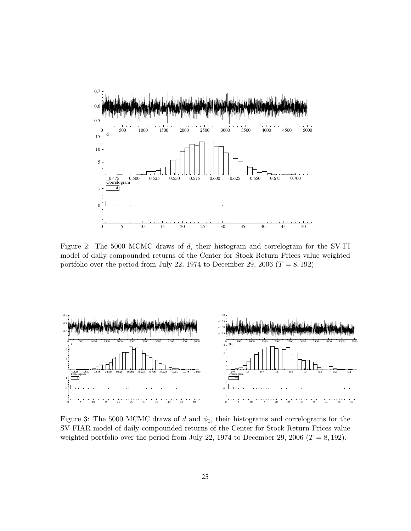

Figure 2: The 5000 MCMC draws of d, their histogram and correlogram for the SV-FI model of daily compounded returns of the Center for Stock Return Prices value weighted portfolio over the period from July 22, 1974 to December 29, 2006 ( $T = 8,192$ ).



Figure 3: The 5000 MCMC draws of d and  $\phi_1$ , their histograms and correlograms for the SV-FIAR model of daily compounded returns of the Center for Stock Return Prices value weighted portfolio over the period from July 22, 1974 to December 29, 2006 ( $T = 8,192$ ).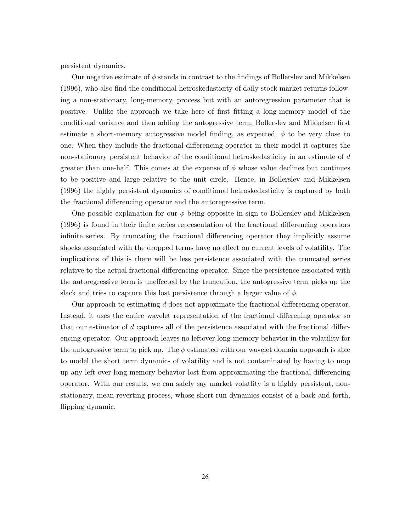persistent dynamics.

Our negative estimate of  $\phi$  stands in contrast to the findings of Bollerslev and Mikkelsen (1996), who also find the conditional hetroskedasticity of daily stock market returns following a non-stationary, long-memory, process but with an autoregression parameter that is positive. Unlike the approach we take here of first fitting a long-memory model of the conditional variance and then adding the autogressive term, Bollerslev and Mikkelsen first estimate a short-memory autogressive model finding, as expected,  $\phi$  to be very close to one. When they include the fractional differencing operator in their model it captures the non-stationary persistent behavior of the conditional hetroskedasticity in an estimate of d greater than one-half. This comes at the expense of  $\phi$  whose value declines but continues to be positive and large relative to the unit circle. Hence, in Bollerslev and Mikkelsen (1996) the highly persistent dynamics of conditional hetroskedasticity is captured by both the fractional differencing operator and the autoregressive term.

One possible explanation for our  $\phi$  being opposite in sign to Bollerslev and Mikkelsen (1996) is found in their finite series representation of the fractional differencing operators infinite series. By truncating the fractional differencing operator they implicitly assume shocks associated with the dropped terms have no effect on current levels of volatility. The implications of this is there will be less persistence associated with the truncated series relative to the actual fractional differencing operator. Since the persistence associated with the autoregressive term is uneffected by the truncation, the autogressive term picks up the slack and tries to capture this lost persistence through a larger value of  $\phi$ .

Our approach to estimating d does not appoximate the fractional differencing operator. Instead, it uses the entire wavelet representation of the fractional differening operator so that our estimator of d captures all of the persistence associated with the fractional differencing operator. Our approach leaves no leftover long-memory behavior in the volatility for the autogressive term to pick up. The  $\phi$  estimated with our wavelet domain approach is able to model the short term dynamics of volatility and is not contaminated by having to mop up any left over long-memory behavior lost from approximating the fractional differencing operator. With our results, we can safely say market volatlity is a highly persistent, nonstationary, mean-reverting process, whose short-run dynamics consist of a back and forth, flipping dynamic.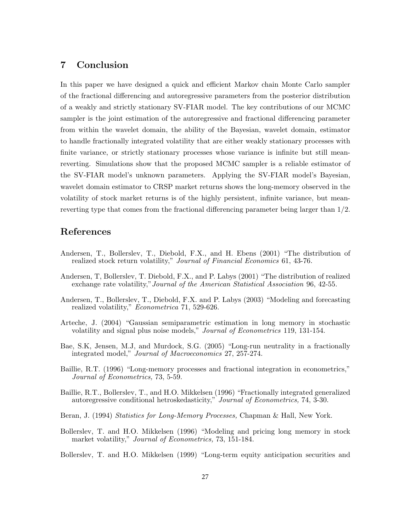# 7 Conclusion

In this paper we have designed a quick and efficient Markov chain Monte Carlo sampler of the fractional differencing and autoregressive parameters from the posterior distribution of a weakly and strictly stationary SV-FIAR model. The key contributions of our MCMC sampler is the joint estimation of the autoregressive and fractional differencing parameter from within the wavelet domain, the ability of the Bayesian, wavelet domain, estimator to handle fractionally integrated volatility that are either weakly stationary processes with finite variance, or strictly stationary processes whose variance is infinite but still meanreverting. Simulations show that the proposed MCMC sampler is a reliable estimator of the SV-FIAR model's unknown parameters. Applying the SV-FIAR model's Bayesian, wavelet domain estimator to CRSP market returns shows the long-memory observed in the volatility of stock market returns is of the highly persistent, infinite variance, but meanreverting type that comes from the fractional differencing parameter being larger than 1/2.

## References

- Andersen, T., Bollerslev, T., Diebold, F.X., and H. Ebens (2001) "The distribution of realized stock return volatility," Journal of Financial Economics 61, 43-76.
- Andersen, T, Bollerslev, T. Diebold, F.X., and P. Labys (2001) "The distribution of realized exchange rate volatility,"Journal of the American Statistical Association 96, 42-55.
- Andersen, T., Bollerslev, T., Diebold, F.X. and P. Labys (2003) "Modeling and forecasting realized volatility," Econometrica 71, 529-626.
- Arteche, J. (2004) "Gaussian semiparametric estimation in long memory in stochastic volatility and signal plus noise models," Journal of Econometrics 119, 131-154.
- Bae, S.K, Jensen, M.J, and Murdock, S.G. (2005) "Long-run neutrality in a fractionally integrated model," Journal of Macroeconomics 27, 257-274.
- Baillie, R.T. (1996) "Long-memory processes and fractional integration in econometrics," Journal of Econometrics, 73, 5-59.
- Baillie, R.T., Bollerslev, T., and H.O. Mikkelsen (1996) "Fractionally integrated generalized autoregressive conditional hetroskedasticity," Journal of Econometrics, 74, 3-30.
- Beran, J. (1994) Statistics for Long-Memory Processes, Chapman & Hall, New York.
- Bollerslev, T. and H.O. Mikkelsen (1996) "Modeling and pricing long memory in stock market volatility," *Journal of Econometrics*, 73, 151-184.
- Bollerslev, T. and H.O. Mikkelsen (1999) "Long-term equity anticipation securities and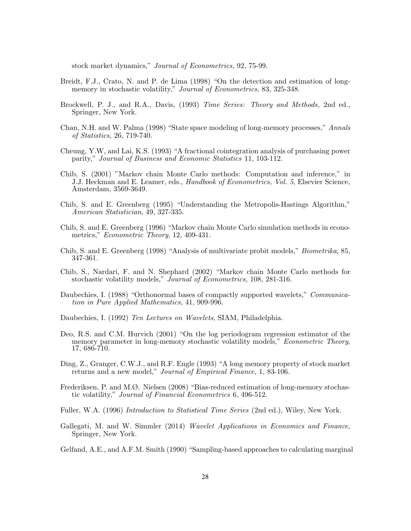stock market dynamics," Journal of Econometrics, 92, 75-99.

- Breidt, F.J., Crato, N. and P. de Lima (1998) "On the detection and estimation of longmemory in stochastic volatility," Journal of Econometrics, 83, 325-348.
- Brockwell, P. J., and R.A., Davis, (1993) Time Series: Theory and Methods, 2nd ed., Springer, New York.
- Chan, N.H. and W. Palma (1998) "State space modeling of long-memory processes," Annals of Statistics, 26, 719-740.
- Cheung, Y.W, and Lai, K.S. (1993) "A fractional cointegration analysis of purchasing power parity," Journal of Business and Economic Statistics 11, 103-112.
- Chib, S. (2001) "Markov chain Monte Carlo methods: Computation and inference," in J.J. Heckman and E. Leamer, eds., Handbook of Econometrics, Vol. 5, Elsevier Science, Amsterdam, 3569-3649.
- Chib, S. and E. Greenberg (1995) "Understanding the Metropolis-Hastings Algorithm," American Statistician, 49, 327-335.
- Chib, S. and E. Greenberg (1996) "Markov chain Monte Carlo simulation methods in econometrics," *Econometric Theory*, 12, 409-431.
- Chib, S. and E. Greenberg (1998) "Analysis of multivariate probit models," Biometrika, 85, 347-361.
- Chib, S., Nardari, F. and N. Shephard (2002) "Markov chain Monte Carlo methods for stochastic volatility models," Journal of Econometrics, 108, 281-316.
- Daubechies, I. (1988) "Orthonormal bases of compactly supported wavelets," *Communica*tion in Pure Applied Mathematics, 41, 909-996.
- Daubechies, I. (1992) Ten Lectures on Wavelets, SIAM, Philadelphia.
- Deo, R.S. and C.M. Hurvich (2001) "On the log periodogram regression estimator of the memory parameter in long-memory stochastic volatility models," *Econometric Theory*, 17, 686-710.
- Ding, Z., Granger, C.W.J., and R.F. Engle (1993) "A long memory property of stock market returns and a new model," Journal of Empirical Finance, 1, 83-106.
- Frederiksen, P. and M.Ø. Nielsen (2008) "Bias-reduced estimation of long-memory stochastic volatility," Journal of Financial Econometrics 6, 496-512.
- Fuller, W.A. (1996) Introduction to Statistical Time Series (2nd ed.), Wiley, New York.
- Gallegati, M. and W. Simmler (2014) Wavelet Applications in Economics and Finance, Springer, New York.
- Gelfand, A.E., and A.F.M. Smith (1990) "Sampling-based approaches to calculating marginal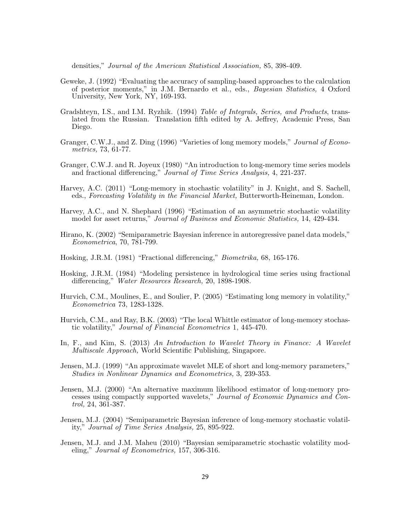densities," Journal of the American Statistical Association, 85, 398-409.

- Geweke, J. (1992) "Evaluating the accuracy of sampling-based approaches to the calculation of posterior moments," in J.M. Bernardo et al., eds., Bayesian Statistics, 4 Oxford University, New York, NY, 169-193.
- Gradshteyn, I.S., and I.M. Ryzhik. (1994) Table of Integrals, Series, and Products, translated from the Russian. Translation fifth edited by A. Jeffrey, Academic Press, San Diego.
- Granger, C.W.J., and Z. Ding (1996) "Varieties of long memory models," Journal of Econometrics, 73, 61-77.
- Granger, C.W.J. and R. Joyeux (1980) "An introduction to long-memory time series models and fractional differencing," Journal of Time Series Analysis, 4, 221-237.
- Harvey, A.C. (2011) "Long-memory in stochastic volatility" in J. Knight, and S. Sachell, eds., Forecasting Volatility in the Financial Market, Butterworth-Heineman, London.
- Harvey, A.C., and N. Shephard (1996) "Estimation of an asymmetric stochastic volatility model for asset returns," Journal of Business and Economic Statistics, 14, 429-434.
- Hirano, K. (2002) "Semiparametric Bayesian inference in autoregressive panel data models," Econometrica, 70, 781-799.
- Hosking, J.R.M. (1981) "Fractional differencing," Biometrika, 68, 165-176.
- Hosking, J.R.M. (1984) "Modeling persistence in hydrological time series using fractional differencing," *Water Resources Research*, 20, 1898-1908.
- Hurvich, C.M., Moulines, E., and Soulier, P. (2005) "Estimating long memory in volatility," Econometrica 73, 1283-1328.
- Hurvich, C.M., and Ray, B.K. (2003) "The local Whittle estimator of long-memory stochastic volatility," Journal of Financial Econometrics 1, 445-470.
- In, F., and Kim, S. (2013) An Introduction to Wavelet Theory in Finance: A Wavelet Multiscale Approach, World Scientific Publishing, Singapore.
- Jensen, M.J. (1999) "An approximate wavelet MLE of short and long-memory parameters," Studies in Nonlinear Dynamics and Econometrics, 3, 239-353.
- Jensen, M.J. (2000) "An alternative maximum likelihood estimator of long-memory processes using compactly supported wavelets," Journal of Economic Dynamics and Control, 24, 361-387.
- Jensen, M.J. (2004) "Semiparametric Bayesian inference of long-memory stochastic volatility," Journal of Time Series Analysis, 25, 895-922.
- Jensen, M.J. and J.M. Maheu (2010) "Bayesian semiparametric stochastic volatility modeling," Journal of Econometrics, 157, 306-316.